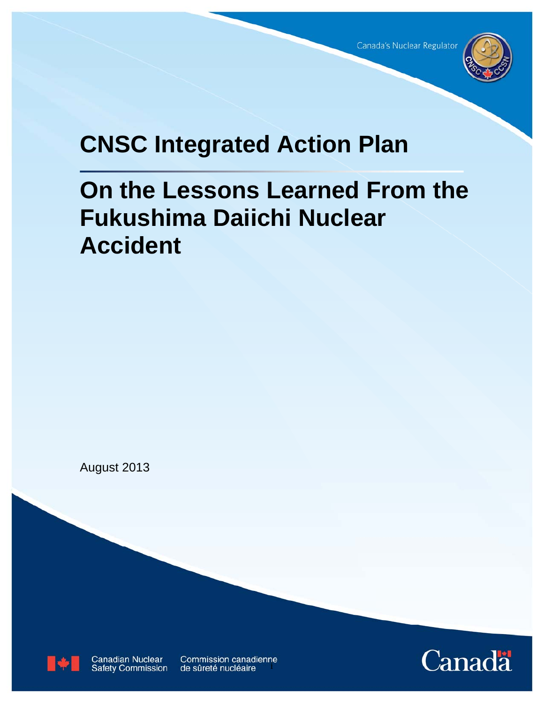

# **CNSC Integrated Action Plan**

# **On the Lessons Learned From the Fukushima Daiichi Nuclear Accident**

August 2013



Canadian Nuclear<br>Safety Commission

Commission canadienne de sûreté nucléaire

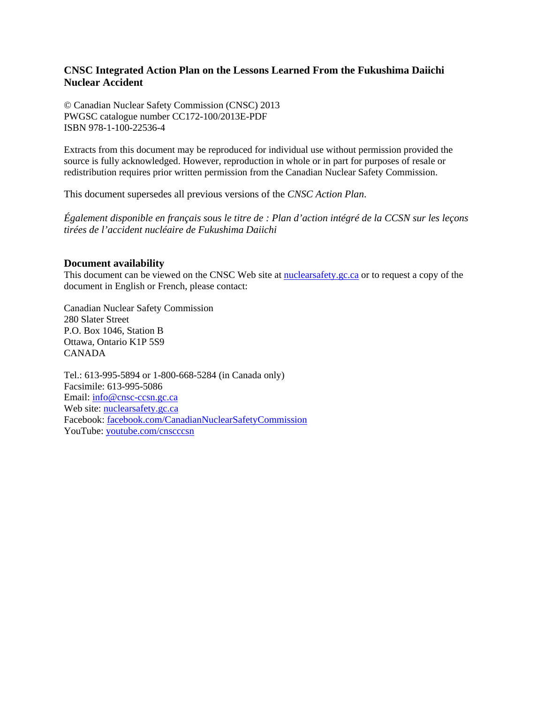#### **CNSC Integrated Action Plan on the Lessons Learned From the Fukushima Daiichi Nuclear Accident**

© Canadian Nuclear Safety Commission (CNSC) 2013 PWGSC catalogue number CC172-100/2013E-PDF ISBN 978-1-100-22536-4

Extracts from this document may be reproduced for individual use without permission provided the source is fully acknowledged. However, reproduction in whole or in part for purposes of resale or redistribution requires prior written permission from the Canadian Nuclear Safety Commission.

This document supersedes all previous versions of the *CNSC Action Plan*.

*Également disponible en français sous le titre de : Plan d'action intégré de la CCSN sur les leçons tirées de l'accident nucléaire de Fukushima Daiichi* 

#### **Document availability**

This document can be viewed on the CNSC Web site at [nuclearsafety.gc.ca](http://www.nuclearsafety.gc.ca/) or to request a copy of the document in English or French, please contact:

Canadian Nuclear Safety Commission 280 Slater Street P.O. Box 1046, Station B Ottawa, Ontario K1P 5S9 CANADA

Tel.: 613-995-5894 or 1-800-668-5284 (in Canada only) Facsimile: 613-995-5086 Email: [info@cnsc-ccsn.gc.ca](mailto:info@cnsc-ccsn.gc.ca) Web site: [nuclearsafety.gc.ca](http://www.nuclearsafety.gc.ca/) Facebook: [facebook.com/CanadianNuclearSafetyCommission](http://www.facebook.com/CanadianNuclearSafetyCommission) YouTube: [youtube.com/cnscccsn](http://www.youtube.com/cnscccsn)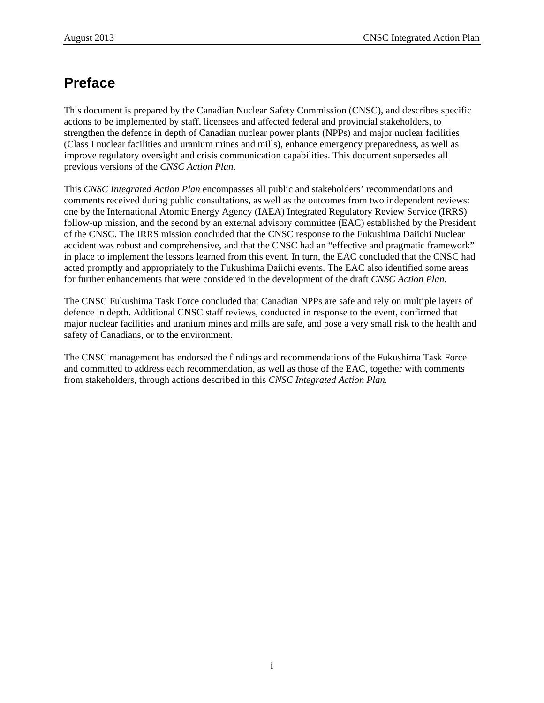# **Preface**

This document is prepared by the Canadian Nuclear Safety Commission (CNSC), and describes specific actions to be implemented by staff, licensees and affected federal and provincial stakeholders, to strengthen the defence in depth of Canadian nuclear power plants (NPPs) and major nuclear facilities (Class I nuclear facilities and uranium mines and mills), enhance emergency preparedness, as well as improve regulatory oversight and crisis communication capabilities. This document supersedes all previous versions of the *CNSC Action Plan*.

This *CNSC Integrated Action Plan* encompasses all public and stakeholders' recommendations and comments received during public consultations, as well as the outcomes from two independent reviews: one by the International Atomic Energy Agency (IAEA) Integrated Regulatory Review Service (IRRS) follow-up mission, and the second by an external advisory committee (EAC) established by the President of the CNSC. The IRRS mission concluded that the CNSC response to the Fukushima Daiichi Nuclear accident was robust and comprehensive, and that the CNSC had an "effective and pragmatic framework" in place to implement the lessons learned from this event. In turn, the EAC concluded that the CNSC had acted promptly and appropriately to the Fukushima Daiichi events. The EAC also identified some areas for further enhancements that were considered in the development of the draft *CNSC Action Plan.*

The CNSC Fukushima Task Force concluded that Canadian NPPs are safe and rely on multiple layers of defence in depth. Additional CNSC staff reviews, conducted in response to the event, confirmed that major nuclear facilities and uranium mines and mills are safe, and pose a very small risk to the health and safety of Canadians, or to the environment.

The CNSC management has endorsed the findings and recommendations of the Fukushima Task Force and committed to address each recommendation, as well as those of the EAC, together with comments from stakeholders, through actions described in this *CNSC Integrated Action Plan.*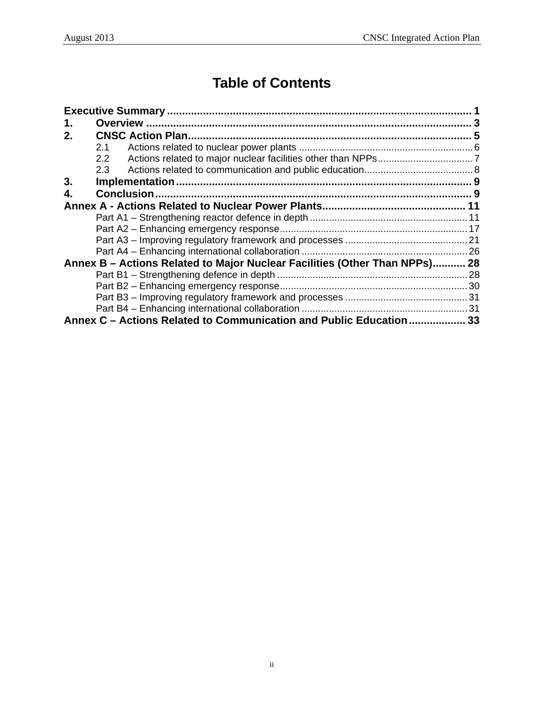# **Table of Contents**

| 1. |                                                                            |  |
|----|----------------------------------------------------------------------------|--|
| 2. |                                                                            |  |
|    | 2.1                                                                        |  |
|    | 2.2                                                                        |  |
|    | 2.3                                                                        |  |
| 3. |                                                                            |  |
| 4. |                                                                            |  |
|    |                                                                            |  |
|    |                                                                            |  |
|    |                                                                            |  |
|    |                                                                            |  |
|    |                                                                            |  |
|    | Annex B – Actions Related to Major Nuclear Facilities (Other Than NPPs) 28 |  |
|    |                                                                            |  |
|    |                                                                            |  |
|    |                                                                            |  |
|    |                                                                            |  |
|    | Annex C – Actions Related to Communication and Public Education  33        |  |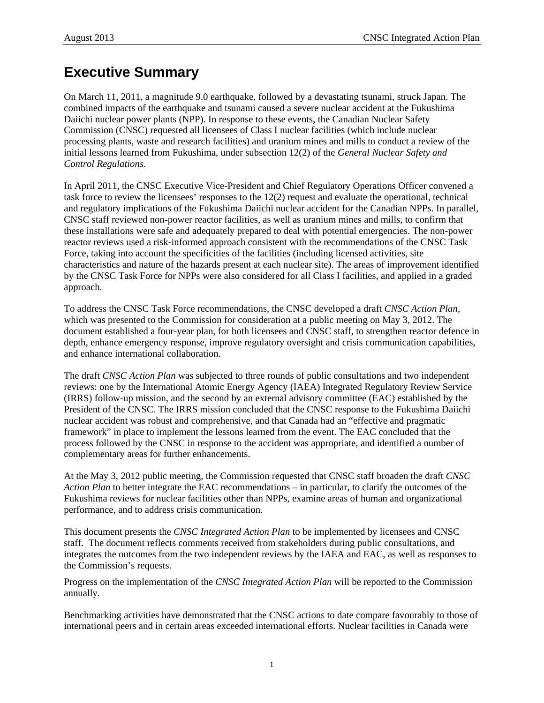# <span id="page-4-0"></span>**Executive Summary**

On March 11, 2011, a magnitude 9.0 earthquake, followed by a devastating tsunami, struck Japan. The combined impacts of the earthquake and tsunami caused a severe nuclear accident at the Fukushima Daiichi nuclear power plants (NPP). In response to these events, the Canadian Nuclear Safety Commission (CNSC) requested all licensees of Class I nuclear facilities (which include nuclear processing plants, waste and research facilities) and uranium mines and mills to conduct a review of the initial lessons learned from Fukushima, under subsection 12(2) of the *General Nuclear Safety and Control Regulations*.

In April 2011, the CNSC Executive Vice-President and Chief Regulatory Operations Officer convened a task force to review the licensees' responses to the 12(2) request and evaluate the operational, technical and regulatory implications of the Fukushima Daiichi nuclear accident for the Canadian NPPs. In parallel, CNSC staff reviewed non-power reactor facilities, as well as uranium mines and mills, to confirm that these installations were safe and adequately prepared to deal with potential emergencies. The non-power reactor reviews used a risk-informed approach consistent with the recommendations of the CNSC Task Force, taking into account the specificities of the facilities (including licensed activities, site characteristics and nature of the hazards present at each nuclear site). The areas of improvement identified by the CNSC Task Force for NPPs were also considered for all Class I facilities, and applied in a graded approach.

To address the CNSC Task Force recommendations, the CNSC developed a draft *CNSC Action Plan*, which was presented to the Commission for consideration at a public meeting on May 3, 2012. The document established a four-year plan, for both licensees and CNSC staff, to strengthen reactor defence in depth, enhance emergency response, improve regulatory oversight and crisis communication capabilities, and enhance international collaboration.

The draft *CNSC Action Plan* was subjected to three rounds of public consultations and two independent reviews: one by the International Atomic Energy Agency (IAEA) Integrated Regulatory Review Service (IRRS) follow-up mission, and the second by an external advisory committee (EAC) established by the President of the CNSC. The IRRS mission concluded that the CNSC response to the Fukushima Daiichi nuclear accident was robust and comprehensive, and that Canada had an "effective and pragmatic framework" in place to implement the lessons learned from the event. The EAC concluded that the process followed by the CNSC in response to the accident was appropriate, and identified a number of complementary areas for further enhancements.

At the May 3, 2012 public meeting, the Commission requested that CNSC staff broaden the draft *CNSC Action Plan* to better integrate the EAC recommendations – in particular, to clarify the outcomes of the Fukushima reviews for nuclear facilities other than NPPs, examine areas of human and organizational performance, and to address crisis communication.

This document presents the *CNSC Integrated Action Plan* to be implemented by licensees and CNSC staff. The document reflects comments received from stakeholders during public consultations, and integrates the outcomes from the two independent reviews by the IAEA and EAC, as well as responses to the Commission's requests.

Progress on the implementation of the *CNSC Integrated Action Plan* will be reported to the Commission annually*.*

Benchmarking activities have demonstrated that the CNSC actions to date compare favourably to those of international peers and in certain areas exceeded international efforts. Nuclear facilities in Canada were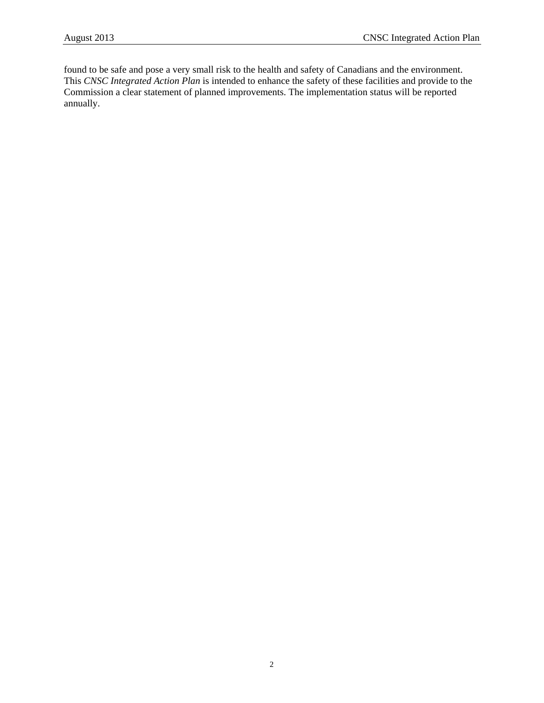found to be safe and pose a very small risk to the health and safety of Canadians and the environment. This *CNSC Integrated Action Plan* is intended to enhance the safety of these facilities and provide to the Commission a clear statement of planned improvements. The implementation status will be reported annually.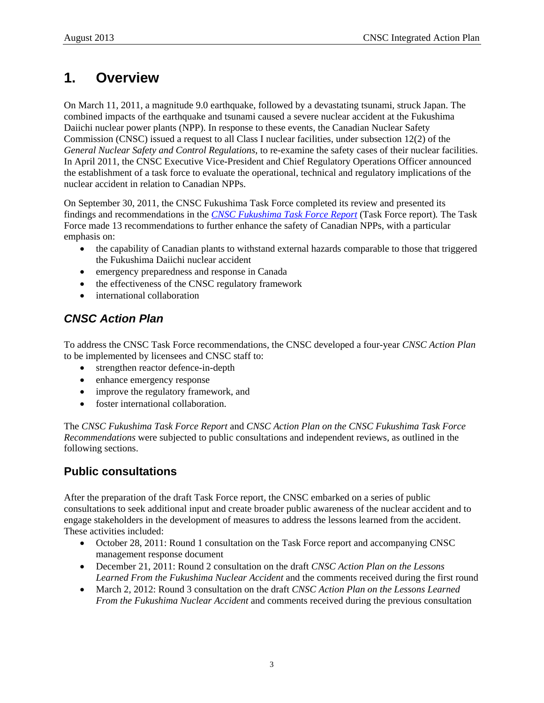# <span id="page-6-0"></span>**1. Overview**

On March 11, 2011, a magnitude 9.0 earthquake, followed by a devastating tsunami, struck Japan. The combined impacts of the earthquake and tsunami caused a severe nuclear accident at the Fukushima Daiichi nuclear power plants (NPP). In response to these events, the Canadian Nuclear Safety Commission (CNSC) issued a request to all Class I nuclear facilities, under subsection 12(2) of the *General Nuclear Safety and Control Regulations*, to re-examine the safety cases of their nuclear facilities. In April 2011, the CNSC Executive Vice-President and Chief Regulatory Operations Officer announced the establishment of a task force to evaluate the operational, technical and regulatory implications of the nuclear accident in relation to Canadian NPPs.

On September 30, 2011, the CNSC Fukushima Task Force completed its review and presented its findings and recommendations in the *[CNSC Fukushima Task Force Report](http://nuclearsafety.gc.ca/pubs_catalogue/uploads/October-2011-CNSC-Fukushima-Task-Force-Report_e.pdf)* (Task Force report)*.* The Task Force made 13 recommendations to further enhance the safety of Canadian NPPs, with a particular emphasis on:

- the capability of Canadian plants to withstand external hazards comparable to those that triggered the Fukushima Daiichi nuclear accident
- emergency preparedness and response in Canada
- the effectiveness of the CNSC regulatory framework
- international collaboration

# *CNSC Action Plan*

To address the CNSC Task Force recommendations, the CNSC developed a four-year *CNSC Action Plan* to be implemented by licensees and CNSC staff to:

- strengthen reactor defence-in-depth
- enhance emergency response
- improve the regulatory framework, and
- foster international collaboration.

The *CNSC Fukushima Task Force Report* and *CNSC Action Plan on the CNSC Fukushima Task Force Recommendations* were subjected to public consultations and independent reviews, as outlined in the following sections.

### **Public consultations**

After the preparation of the draft Task Force report, the CNSC embarked on a series of public consultations to seek additional input and create broader public awareness of the nuclear accident and to engage stakeholders in the development of measures to address the lessons learned from the accident. These activities included:

- October 28, 2011: Round 1 consultation on the Task Force report and accompanying CNSC management response document
- December 21, 2011: Round 2 consultation on the draft *CNSC Action Plan on the Lessons Learned From the Fukushima Nuclear Accident* and the comments received during the first round
- March 2, 2012: Round 3 consultation on the draft *CNSC Action Plan on the Lessons Learned From the Fukushima Nuclear Accident* and comments received during the previous consultation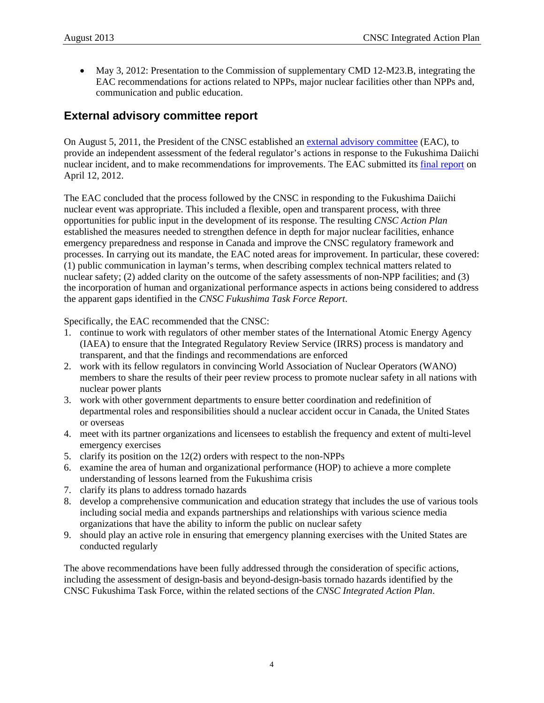• May 3, 2012: Presentation to the Commission of supplementary CMD 12-M23.B, integrating the EAC recommendations for actions related to NPPs, major nuclear facilities other than NPPs and, communication and public education.

### **External advisory committee report**

On August 5, 2011, the President of the CNSC established an [external advisory committee](http://www.nuclearsafety.gc.ca/eng/mediacentre/releases/news_release.cfm?news_release_id=389) (EAC), to provide an independent assessment of the federal regulator's actions in response to the Fukushima Daiichi nuclear incident, and to make recommendations for improvements. The EAC submitted its [final report](http://nuclearsafety.gc.ca/eng/pdfs/japan-earthquake/April-2012-Final-Report-of-the-EAC_CNSC-Response-to-the-Japanese-Nuclear-Event_e.pdf) on April 12, 2012.

The EAC concluded that the process followed by the CNSC in responding to the Fukushima Daiichi nuclear event was appropriate. This included a flexible, open and transparent process, with three opportunities for public input in the development of its response. The resulting *CNSC Action Plan* established the measures needed to strengthen defence in depth for major nuclear facilities, enhance emergency preparedness and response in Canada and improve the CNSC regulatory framework and processes. In carrying out its mandate, the EAC noted areas for improvement. In particular, these covered: (1) public communication in layman's terms, when describing complex technical matters related to nuclear safety; (2) added clarity on the outcome of the safety assessments of non-NPP facilities; and (3) the incorporation of human and organizational performance aspects in actions being considered to address the apparent gaps identified in the *CNSC Fukushima Task Force Report*.

Specifically, the EAC recommended that the CNSC:

- 1. continue to work with regulators of other member states of the International Atomic Energy Agency (IAEA) to ensure that the Integrated Regulatory Review Service (IRRS) process is mandatory and transparent, and that the findings and recommendations are enforced
- 2. work with its fellow regulators in convincing World Association of Nuclear Operators (WANO) members to share the results of their peer review process to promote nuclear safety in all nations with nuclear power plants
- 3. work with other government departments to ensure better coordination and redefinition of departmental roles and responsibilities should a nuclear accident occur in Canada, the United States or overseas
- 4. meet with its partner organizations and licensees to establish the frequency and extent of multi-level emergency exercises
- 5. clarify its position on the 12(2) orders with respect to the non-NPPs
- 6. examine the area of human and organizational performance (HOP) to achieve a more complete understanding of lessons learned from the Fukushima crisis
- 7. clarify its plans to address tornado hazards
- 8. develop a comprehensive communication and education strategy that includes the use of various tools including social media and expands partnerships and relationships with various science media organizations that have the ability to inform the public on nuclear safety
- 9. should play an active role in ensuring that emergency planning exercises with the United States are conducted regularly

The above recommendations have been fully addressed through the consideration of specific actions, including the assessment of design-basis and beyond-design-basis tornado hazards identified by the CNSC Fukushima Task Force, within the related sections of the *CNSC Integrated Action Plan*.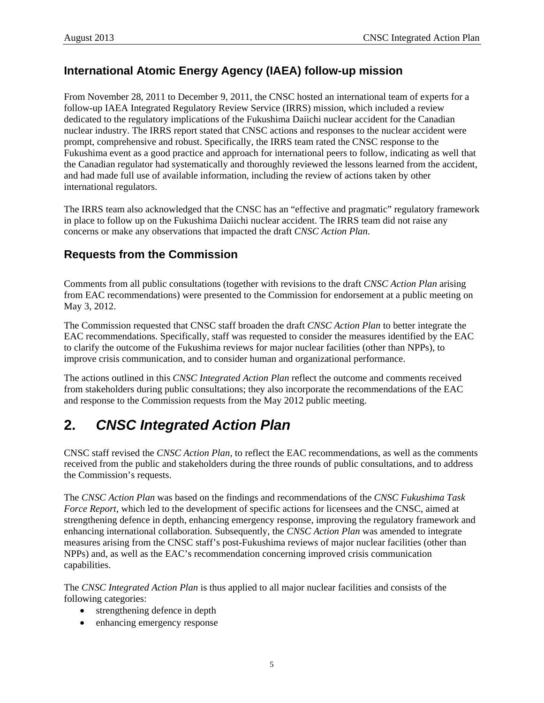# <span id="page-8-0"></span>**International Atomic Energy Agency (IAEA) follow-up mission**

From November 28, 2011 to December 9, 2011, the CNSC hosted an international team of experts for a follow-up IAEA Integrated Regulatory Review Service (IRRS) mission, which included a review dedicated to the regulatory implications of the Fukushima Daiichi nuclear accident for the Canadian nuclear industry. The IRRS report stated that CNSC actions and responses to the nuclear accident were prompt, comprehensive and robust. Specifically, the IRRS team rated the CNSC response to the Fukushima event as a good practice and approach for international peers to follow, indicating as well that the Canadian regulator had systematically and thoroughly reviewed the lessons learned from the accident, and had made full use of available information, including the review of actions taken by other international regulators.

The IRRS team also acknowledged that the CNSC has an "effective and pragmatic" regulatory framework in place to follow up on the Fukushima Daiichi nuclear accident. The IRRS team did not raise any concerns or make any observations that impacted the draft *CNSC Action Plan*.

# **Requests from the Commission**

Comments from all public consultations (together with revisions to the draft *CNSC Action Plan* arising from EAC recommendations) were presented to the Commission for endorsement at a public meeting on May 3, 2012.

The Commission requested that CNSC staff broaden the draft *CNSC Action Plan* to better integrate the EAC recommendations. Specifically, staff was requested to consider the measures identified by the EAC to clarify the outcome of the Fukushima reviews for major nuclear facilities (other than NPPs), to improve crisis communication, and to consider human and organizational performance.

The actions outlined in this *CNSC Integrated Action Plan* reflect the outcome and comments received from stakeholders during public consultations; they also incorporate the recommendations of the EAC and response to the Commission requests from the May 2012 public meeting.

# **2.** *CNSC Integrated Action Plan*

CNSC staff revised the *CNSC Action Plan,* to reflect the EAC recommendations, as well as the comments received from the public and stakeholders during the three rounds of public consultations, and to address the Commission's requests.

The *CNSC Action Plan* was based on the findings and recommendations of the *CNSC Fukushima Task Force Report*, which led to the development of specific actions for licensees and the CNSC, aimed at strengthening defence in depth, enhancing emergency response, improving the regulatory framework and enhancing international collaboration. Subsequently, the *CNSC Action Plan* was amended to integrate measures arising from the CNSC staff's post-Fukushima reviews of major nuclear facilities (other than NPPs) and, as well as the EAC's recommendation concerning improved crisis communication capabilities.

The *CNSC Integrated Action Plan* is thus applied to all major nuclear facilities and consists of the following categories:

- strengthening defence in depth
- enhancing emergency response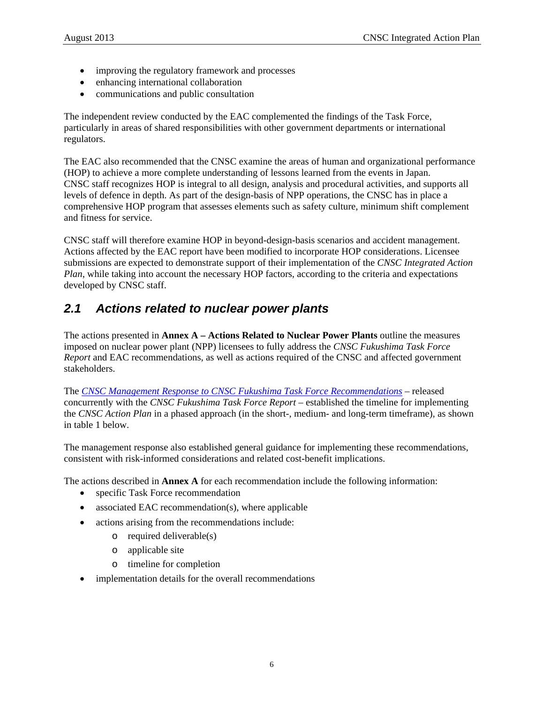- <span id="page-9-0"></span>• improving the regulatory framework and processes
- enhancing international collaboration
- communications and public consultation

The independent review conducted by the EAC complemented the findings of the Task Force, particularly in areas of shared responsibilities with other government departments or international regulators.

The EAC also recommended that the CNSC examine the areas of human and organizational performance (HOP) to achieve a more complete understanding of lessons learned from the events in Japan. CNSC staff recognizes HOP is integral to all design, analysis and procedural activities, and supports all levels of defence in depth. As part of the design-basis of NPP operations, the CNSC has in place a comprehensive HOP program that assesses elements such as safety culture, minimum shift complement and fitness for service.

CNSC staff will therefore examine HOP in beyond-design-basis scenarios and accident management. Actions affected by the EAC report have been modified to incorporate HOP considerations. Licensee submissions are expected to demonstrate support of their implementation of the *CNSC Integrated Action Plan*, while taking into account the necessary HOP factors, according to the criteria and expectations developed by CNSC staff.

# *2.1 Actions related to nuclear power plants*

The actions presented in **Annex A – Actions Related to Nuclear Power Plants** outline the measures imposed on nuclear power plant (NPP) licensees to fully address the *CNSC Fukushima Task Force Report* and EAC recommendations, as well as actions required of the CNSC and affected government stakeholders.

The *[CNSC Management Response to CNSC Fukushima Task Force Recommendations](http://www.nuclearsafety.gc.ca/pubs_catalogue/uploads/October-2011-Management-Response-to-Fukushima-Task-Force-Report_e.pdf)* – released concurrently with the *CNSC Fukushima Task Force Report* – established the timeline for implementing the *CNSC Action Plan* in a phased approach (in the short-, medium- and long-term timeframe), as shown in table 1 below.

The management response also established general guidance for implementing these recommendations, consistent with risk-informed considerations and related cost-benefit implications.

The actions described in **Annex A** for each recommendation include the following information:

- specific Task Force recommendation
- associated EAC recommendation(s), where applicable
- actions arising from the recommendations include:
	- o required deliverable(s)
	- o applicable site
	- o timeline for completion
- implementation details for the overall recommendations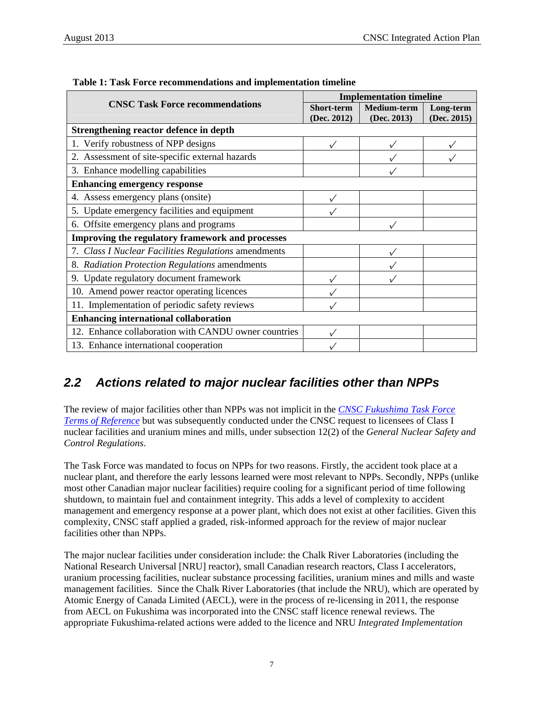|                                                      | <b>Implementation timeline</b>   |                                   |                          |  |
|------------------------------------------------------|----------------------------------|-----------------------------------|--------------------------|--|
| <b>CNSC Task Force recommendations</b>               | <b>Short-term</b><br>(Dec. 2012) | <b>Medium-term</b><br>(Dec. 2013) | Long-term<br>(Dec. 2015) |  |
| Strengthening reactor defence in depth               |                                  |                                   |                          |  |
| 1. Verify robustness of NPP designs                  | $\checkmark$                     |                                   |                          |  |
| 2. Assessment of site-specific external hazards      |                                  |                                   |                          |  |
| 3. Enhance modelling capabilities                    |                                  |                                   |                          |  |
| <b>Enhancing emergency response</b>                  |                                  |                                   |                          |  |
| 4. Assess emergency plans (onsite)                   | $\checkmark$                     |                                   |                          |  |
| 5. Update emergency facilities and equipment         |                                  |                                   |                          |  |
| 6. Offsite emergency plans and programs              |                                  |                                   |                          |  |
| Improving the regulatory framework and processes     |                                  |                                   |                          |  |
| 7. Class I Nuclear Facilities Regulations amendments |                                  |                                   |                          |  |
| 8. Radiation Protection Regulations amendments       |                                  |                                   |                          |  |
| 9. Update regulatory document framework              |                                  |                                   |                          |  |
| 10. Amend power reactor operating licences           |                                  |                                   |                          |  |
| 11. Implementation of periodic safety reviews        |                                  |                                   |                          |  |
| <b>Enhancing international collaboration</b>         |                                  |                                   |                          |  |
| 12. Enhance collaboration with CANDU owner countries | $\checkmark$                     |                                   |                          |  |
| 13. Enhance international cooperation                |                                  |                                   |                          |  |

<span id="page-10-0"></span>

| Table 1: Task Force recommendations and implementation timeline |  |
|-----------------------------------------------------------------|--|
|-----------------------------------------------------------------|--|

# *2.2 Actions related to major nuclear facilities other than NPPs*

The review of major facilities other than NPPs was not implicit in the *[CNSC Fukushima Task Force](http://www.nuclearsafety.gc.ca/eng/pdfs/japan-earthquake/April-28-2011-CNSC-Task-Force-Terms-of-Reference_e.pdf)  [Terms of Reference](http://www.nuclearsafety.gc.ca/eng/pdfs/japan-earthquake/April-28-2011-CNSC-Task-Force-Terms-of-Reference_e.pdf)* but was subsequently conducted under the CNSC request to licensees of Class I nuclear facilities and uranium mines and mills, under subsection 12(2) of the *General Nuclear Safety and Control Regulations*.

The Task Force was mandated to focus on NPPs for two reasons. Firstly, the accident took place at a nuclear plant, and therefore the early lessons learned were most relevant to NPPs. Secondly, NPPs (unlike most other Canadian major nuclear facilities) require cooling for a significant period of time following shutdown, to maintain fuel and containment integrity. This adds a level of complexity to accident management and emergency response at a power plant, which does not exist at other facilities. Given this complexity, CNSC staff applied a graded, risk-informed approach for the review of major nuclear facilities other than NPPs.

The major nuclear facilities under consideration include: the Chalk River Laboratories (including the National Research Universal [NRU] reactor), small Canadian research reactors, Class I accelerators, uranium processing facilities, nuclear substance processing facilities, uranium mines and mills and waste management facilities. Since the Chalk River Laboratories (that include the NRU), which are operated by Atomic Energy of Canada Limited (AECL), were in the process of re-licensing in 2011, the response from AECL on Fukushima was incorporated into the CNSC staff licence renewal reviews. The appropriate Fukushima-related actions were added to the licence and NRU *Integrated Implementation*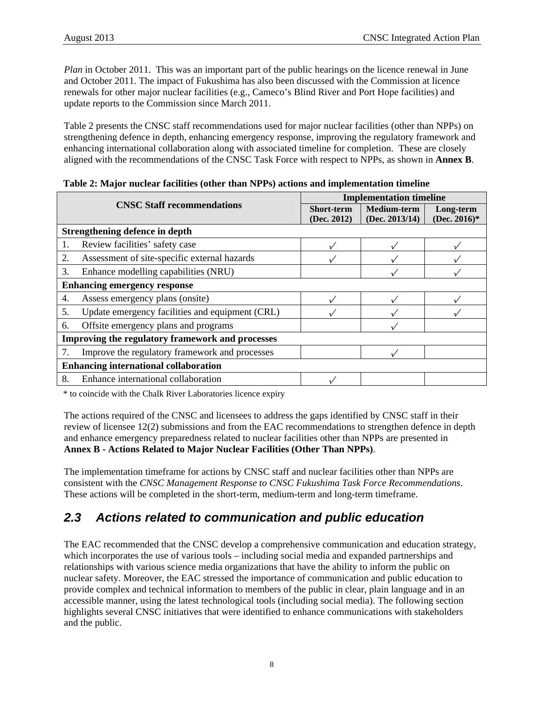<span id="page-11-0"></span>*Plan* in October 2011. This was an important part of the public hearings on the licence renewal in June and October 2011. The impact of Fukushima has also been discussed with the Commission at licence renewals for other major nuclear facilities (e.g., Cameco's Blind River and Port Hope facilities) and update reports to the Commission since March 2011.

Table 2 presents the CNSC staff recommendations used for major nuclear facilities (other than NPPs) on strengthening defence in depth, enhancing emergency response, improving the regulatory framework and enhancing international collaboration along with associated timeline for completion. These are closely aligned with the recommendations of the CNSC Task Force with respect to NPPs, as shown in **Annex B**.

|                                                  |                                                 | <b>Implementation timeline</b> |                                      |                           |  |
|--------------------------------------------------|-------------------------------------------------|--------------------------------|--------------------------------------|---------------------------|--|
|                                                  | <b>CNSC Staff recommendations</b>               |                                | <b>Medium-term</b><br>(Dec. 2013/14) | Long-term<br>(Dec. 2016)* |  |
|                                                  | <b>Strengthening defence in depth</b>           |                                |                                      |                           |  |
| 1.                                               | Review facilities' safety case                  |                                |                                      |                           |  |
| 2.                                               | Assessment of site-specific external hazards    |                                |                                      |                           |  |
| 3.                                               | Enhance modelling capabilities (NRU)            |                                |                                      |                           |  |
|                                                  | <b>Enhancing emergency response</b>             |                                |                                      |                           |  |
| 4.                                               | Assess emergency plans (onsite)                 |                                |                                      |                           |  |
| 5.                                               | Update emergency facilities and equipment (CRL) |                                |                                      |                           |  |
| 6.                                               | Offsite emergency plans and programs            |                                |                                      |                           |  |
| Improving the regulatory framework and processes |                                                 |                                |                                      |                           |  |
|                                                  | Improve the regulatory framework and processes  |                                |                                      |                           |  |
| <b>Enhancing international collaboration</b>     |                                                 |                                |                                      |                           |  |
| 8.                                               | Enhance international collaboration             |                                |                                      |                           |  |

|  |  | Table 2: Major nuclear facilities (other than NPPs) actions and implementation timeline |
|--|--|-----------------------------------------------------------------------------------------|
|  |  |                                                                                         |

\* to coincide with the Chalk River Laboratories licence expiry

The actions required of the CNSC and licensees to address the gaps identified by CNSC staff in their review of licensee 12(2) submissions and from the EAC recommendations to strengthen defence in depth and enhance emergency preparedness related to nuclear facilities other than NPPs are presented in **Annex B - Actions Related to Major Nuclear Facilities (Other Than NPPs)**.

The implementation timeframe for actions by CNSC staff and nuclear facilities other than NPPs are consistent with the *CNSC Management Response to CNSC Fukushima Task Force Recommendations*. These actions will be completed in the short-term, medium-term and long-term timeframe.

# *2.3 Actions related to communication and public education*

The EAC recommended that the CNSC develop a comprehensive communication and education strategy, which incorporates the use of various tools – including social media and expanded partnerships and relationships with various science media organizations that have the ability to inform the public on nuclear safety. Moreover, the EAC stressed the importance of communication and public education to provide complex and technical information to members of the public in clear, plain language and in an accessible manner, using the latest technological tools (including social media). The following section highlights several CNSC initiatives that were identified to enhance communications with stakeholders and the public.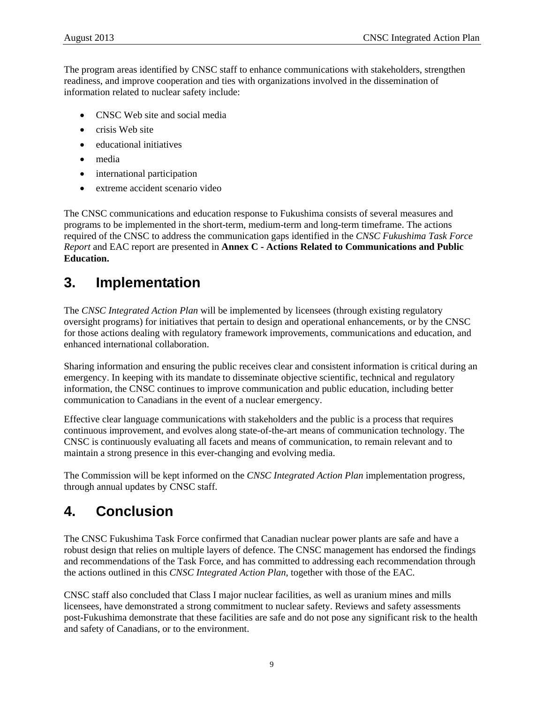<span id="page-12-0"></span>The program areas identified by CNSC staff to enhance communications with stakeholders, strengthen readiness, and improve cooperation and ties with organizations involved in the dissemination of information related to nuclear safety include:

- CNSC Web site and social media
- crisis Web site
- educational initiatives
- media
- international participation
- extreme accident scenario video

The CNSC communications and education response to Fukushima consists of several measures and programs to be implemented in the short-term, medium-term and long-term timeframe. The actions required of the CNSC to address the communication gaps identified in the *CNSC Fukushima Task Force Report* and EAC report are presented in **Annex C - Actions Related to Communications and Public Education.**

# **3. Implementation**

The *CNSC Integrated Action Plan* will be implemented by licensees (through existing regulatory oversight programs) for initiatives that pertain to design and operational enhancements, or by the CNSC for those actions dealing with regulatory framework improvements, communications and education, and enhanced international collaboration.

Sharing information and ensuring the public receives clear and consistent information is critical during an emergency. In keeping with its mandate to disseminate objective scientific, technical and regulatory information, the CNSC continues to improve communication and public education, including better communication to Canadians in the event of a nuclear emergency.

Effective clear language communications with stakeholders and the public is a process that requires continuous improvement, and evolves along state-of-the-art means of communication technology. The CNSC is continuously evaluating all facets and means of communication, to remain relevant and to maintain a strong presence in this ever-changing and evolving media.

The Commission will be kept informed on the *CNSC Integrated Action Plan* implementation progress, through annual updates by CNSC staff.

# **4. Conclusion**

The CNSC Fukushima Task Force confirmed that Canadian nuclear power plants are safe and have a robust design that relies on multiple layers of defence. The CNSC management has endorsed the findings and recommendations of the Task Force, and has committed to addressing each recommendation through the actions outlined in this *CNSC Integrated Action Plan*, together with those of the EAC.

CNSC staff also concluded that Class I major nuclear facilities, as well as uranium mines and mills licensees, have demonstrated a strong commitment to nuclear safety. Reviews and safety assessments post-Fukushima demonstrate that these facilities are safe and do not pose any significant risk to the health and safety of Canadians, or to the environment.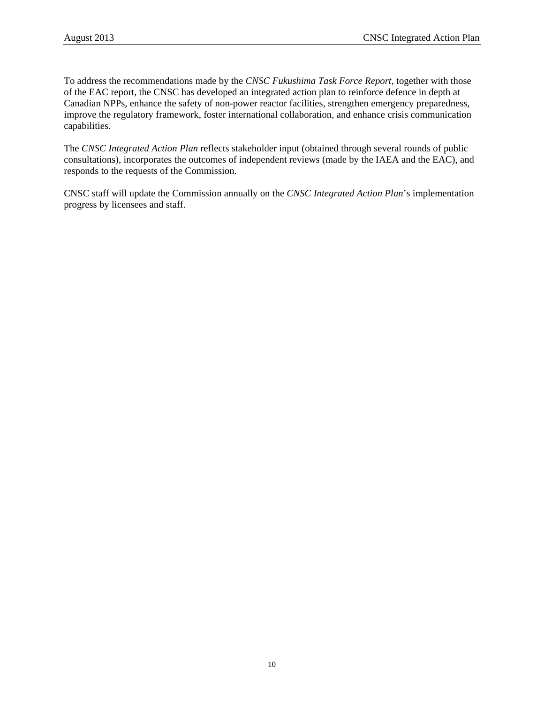To address the recommendations made by the *CNSC Fukushima Task Force Report*, together with those of the EAC report, the CNSC has developed an integrated action plan to reinforce defence in depth at Canadian NPPs, enhance the safety of non-power reactor facilities, strengthen emergency preparedness, improve the regulatory framework, foster international collaboration, and enhance crisis communication capabilities.

The *CNSC Integrated Action Plan* reflects stakeholder input (obtained through several rounds of public consultations), incorporates the outcomes of independent reviews (made by the IAEA and the EAC), and responds to the requests of the Commission.

CNSC staff will update the Commission annually on the *CNSC Integrated Action Plan*'s implementation progress by licensees and staff.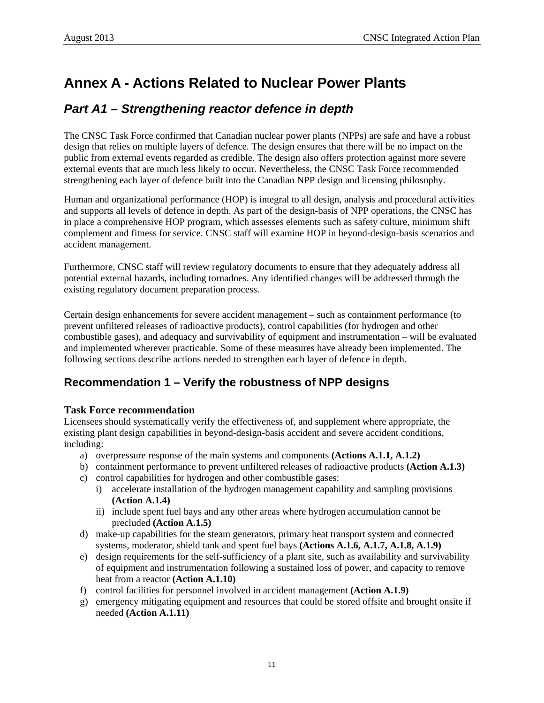# <span id="page-14-0"></span>**Annex A - Actions Related to Nuclear Power Plants**

# *Part A1 – Strengthening reactor defence in depth*

The CNSC Task Force confirmed that Canadian nuclear power plants (NPPs) are safe and have a robust design that relies on multiple layers of defence. The design ensures that there will be no impact on the public from external events regarded as credible. The design also offers protection against more severe external events that are much less likely to occur. Nevertheless, the CNSC Task Force recommended strengthening each layer of defence built into the Canadian NPP design and licensing philosophy.

Human and organizational performance (HOP) is integral to all design, analysis and procedural activities and supports all levels of defence in depth. As part of the design-basis of NPP operations, the CNSC has in place a comprehensive HOP program, which assesses elements such as safety culture, minimum shift complement and fitness for service. CNSC staff will examine HOP in beyond-design-basis scenarios and accident management.

Furthermore, CNSC staff will review regulatory documents to ensure that they adequately address all potential external hazards, including tornadoes. Any identified changes will be addressed through the existing regulatory document preparation process.

Certain design enhancements for severe accident management – such as containment performance (to prevent unfiltered releases of radioactive products), control capabilities (for hydrogen and other combustible gases), and adequacy and survivability of equipment and instrumentation – will be evaluated and implemented wherever practicable. Some of these measures have already been implemented. The following sections describe actions needed to strengthen each layer of defence in depth.

# **Recommendation 1 – Verify the robustness of NPP designs**

#### **Task Force recommendation**

Licensees should systematically verify the effectiveness of, and supplement where appropriate, the existing plant design capabilities in beyond-design-basis accident and severe accident conditions, including:

- a) overpressure response of the main systems and components **(Actions A.1.1, A.1.2)**
- b) containment performance to prevent unfiltered releases of radioactive products **(Action A.1.3)**
- c) control capabilities for hydrogen and other combustible gases:
	- i) accelerate installation of the hydrogen management capability and sampling provisions **(Action A.1.4)**
	- ii) include spent fuel bays and any other areas where hydrogen accumulation cannot be precluded **(Action A.1.5)**
- d) make-up capabilities for the steam generators, primary heat transport system and connected systems, moderator, shield tank and spent fuel bays **(Actions A.1.6, A.1.7, A.1.8, A.1.9)**
- e) design requirements for the self-sufficiency of a plant site, such as availability and survivability of equipment and instrumentation following a sustained loss of power, and capacity to remove heat from a reactor **(Action A.1.10)**
- f) control facilities for personnel involved in accident management **(Action A.1.9)**
- g) emergency mitigating equipment and resources that could be stored offsite and brought onsite if needed **(Action A.1.11)**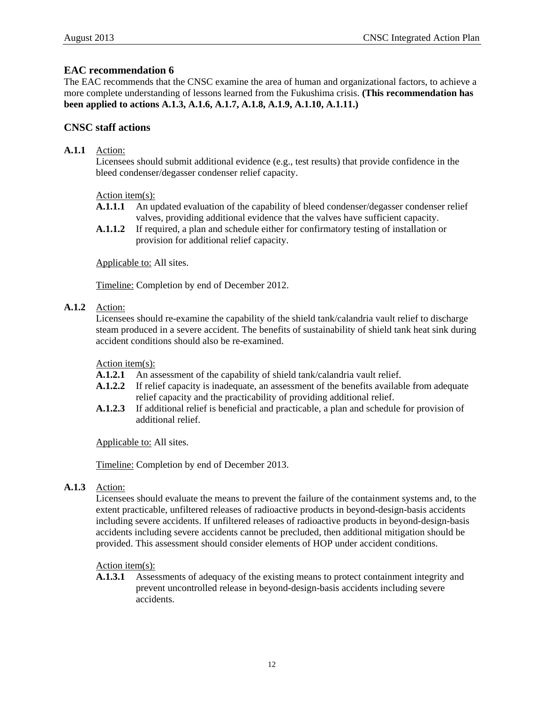#### **EAC recommendation 6**

The EAC recommends that the CNSC examine the area of human and organizational factors, to achieve a more complete understanding of lessons learned from the Fukushima crisis. **(This recommendation has been applied to actions A.1.3, A.1.6, A.1.7, A.1.8, A.1.9, A.1.10, A.1.11.)**

#### **CNSC staff actions**

#### **A.1.1** Action:

Licensees should submit additional evidence (e.g., test results) that provide confidence in the bleed condenser/degasser condenser relief capacity.

#### Action item(s):

- **A.1.1.1** An updated evaluation of the capability of bleed condenser/degasser condenser relief valves, providing additional evidence that the valves have sufficient capacity.
- **A.1.1.2** If required, a plan and schedule either for confirmatory testing of installation or provision for additional relief capacity.

Applicable to: All sites.

Timeline: Completion by end of December 2012.

#### **A.1.2** Action:

Licensees should re-examine the capability of the shield tank/calandria vault relief to discharge steam produced in a severe accident. The benefits of sustainability of shield tank heat sink during accident conditions should also be re-examined.

#### Action item(s):

- **A.1.2.1** An assessment of the capability of shield tank/calandria vault relief.
- **A.1.2.2** If relief capacity is inadequate, an assessment of the benefits available from adequate relief capacity and the practicability of providing additional relief.
- **A.1.2.3** If additional relief is beneficial and practicable, a plan and schedule for provision of additional relief.

Applicable to: All sites.

Timeline: Completion by end of December 2013.

#### **A.1.3** Action:

Licensees should evaluate the means to prevent the failure of the containment systems and, to the extent practicable, unfiltered releases of radioactive products in beyond-design-basis accidents including severe accidents. If unfiltered releases of radioactive products in beyond-design-basis accidents including severe accidents cannot be precluded, then additional mitigation should be provided. This assessment should consider elements of HOP under accident conditions.

#### Action item(s):

**A.1.3.1** Assessments of adequacy of the existing means to protect containment integrity and prevent uncontrolled release in beyond-design-basis accidents including severe accidents.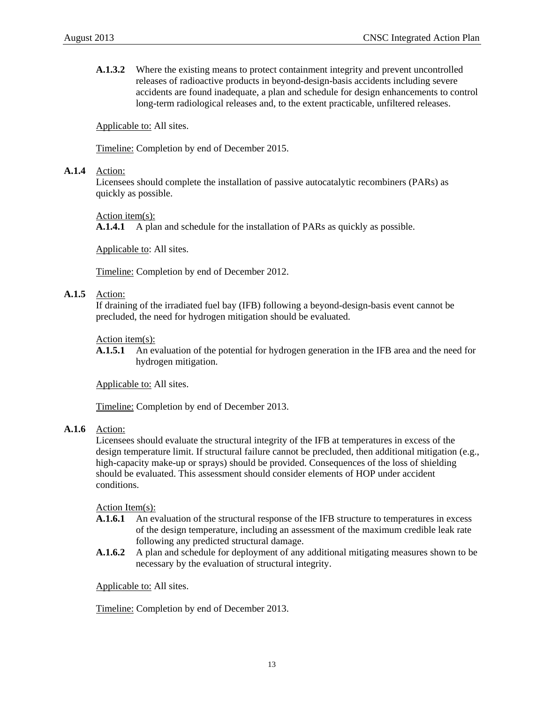**A.1.3.2** Where the existing means to protect containment integrity and prevent uncontrolled releases of radioactive products in beyond-design-basis accidents including severe accidents are found inadequate, a plan and schedule for design enhancements to control long-term radiological releases and, to the extent practicable, unfiltered releases.

Applicable to: All sites.

Timeline: Completion by end of December 2015.

#### **A.1.4** Action:

Licensees should complete the installation of passive autocatalytic recombiners (PARs) as quickly as possible.

Action item(s):

**A.1.4.1** A plan and schedule for the installation of PARs as quickly as possible.

Applicable to: All sites.

Timeline: Completion by end of December 2012.

#### **A.1.5** Action:

If draining of the irradiated fuel bay (IFB) following a beyond-design-basis event cannot be precluded, the need for hydrogen mitigation should be evaluated.

#### Action item(s):

**A.1.5.1** An evaluation of the potential for hydrogen generation in the IFB area and the need for hydrogen mitigation.

Applicable to: All sites.

Timeline: Completion by end of December 2013.

#### **A.1.6** Action:

Licensees should evaluate the structural integrity of the IFB at temperatures in excess of the design temperature limit. If structural failure cannot be precluded, then additional mitigation (e.g., high-capacity make-up or sprays) should be provided. Consequences of the loss of shielding should be evaluated. This assessment should consider elements of HOP under accident conditions.

Action Item(s):

- **A.1.6.1** An evaluation of the structural response of the IFB structure to temperatures in excess of the design temperature, including an assessment of the maximum credible leak rate following any predicted structural damage.
- **A.1.6.2** A plan and schedule for deployment of any additional mitigating measures shown to be necessary by the evaluation of structural integrity.

Applicable to: All sites.

Timeline: Completion by end of December 2013.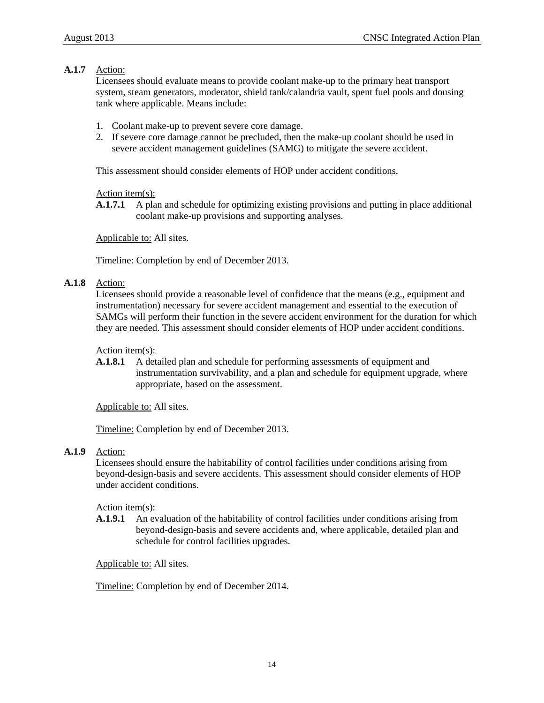#### **A.1.7** Action:

Licensees should evaluate means to provide coolant make-up to the primary heat transport system, steam generators, moderator, shield tank/calandria vault, spent fuel pools and dousing tank where applicable. Means include:

- 1. Coolant make-up to prevent severe core damage.
- 2. If severe core damage cannot be precluded, then the make-up coolant should be used in severe accident management guidelines (SAMG) to mitigate the severe accident.

This assessment should consider elements of HOP under accident conditions.

Action item(s):

**A.1.7.1** A plan and schedule for optimizing existing provisions and putting in place additional coolant make-up provisions and supporting analyses.

Applicable to: All sites.

Timeline: Completion by end of December 2013.

#### **A.1.8** Action:

Licensees should provide a reasonable level of confidence that the means (e.g., equipment and instrumentation) necessary for severe accident management and essential to the execution of SAMGs will perform their function in the severe accident environment for the duration for which they are needed. This assessment should consider elements of HOP under accident conditions.

#### Action item(s):

**A.1.8.1** A detailed plan and schedule for performing assessments of equipment and instrumentation survivability, and a plan and schedule for equipment upgrade, where appropriate, based on the assessment.

Applicable to: All sites.

Timeline: Completion by end of December 2013.

#### **A.1.9** Action:

Licensees should ensure the habitability of control facilities under conditions arising from beyond-design-basis and severe accidents. This assessment should consider elements of HOP under accident conditions.

#### Action item(s):

**A.1.9.1** An evaluation of the habitability of control facilities under conditions arising from beyond-design-basis and severe accidents and, where applicable, detailed plan and schedule for control facilities upgrades.

Applicable to: All sites.

Timeline: Completion by end of December 2014.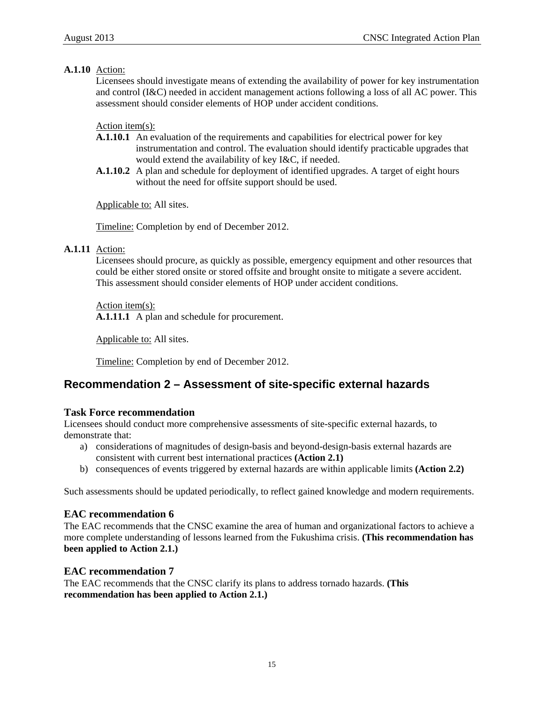#### **A.1.10** Action:

Licensees should investigate means of extending the availability of power for key instrumentation and control (I&C) needed in accident management actions following a loss of all AC power. This assessment should consider elements of HOP under accident conditions.

#### Action item(s):

- **A.1.10.1** An evaluation of the requirements and capabilities for electrical power for key instrumentation and control. The evaluation should identify practicable upgrades that would extend the availability of key I&C, if needed.
- **A.1.10.2** A plan and schedule for deployment of identified upgrades. A target of eight hours without the need for offsite support should be used.

Applicable to: All sites.

Timeline: Completion by end of December 2012.

#### **A.1.11** Action:

Licensees should procure, as quickly as possible, emergency equipment and other resources that could be either stored onsite or stored offsite and brought onsite to mitigate a severe accident. This assessment should consider elements of HOP under accident conditions.

Action item(s): **A.1.11.1** A plan and schedule for procurement.

Applicable to: All sites.

Timeline: Completion by end of December 2012.

# **Recommendation 2 – Assessment of site-specific external hazards**

#### **Task Force recommendation**

Licensees should conduct more comprehensive assessments of site-specific external hazards, to demonstrate that:

- a) considerations of magnitudes of design-basis and beyond-design-basis external hazards are consistent with current best international practices **(Action 2.1)**
- b) consequences of events triggered by external hazards are within applicable limits **(Action 2.2)**

Such assessments should be updated periodically, to reflect gained knowledge and modern requirements.

#### **EAC recommendation 6**

The EAC recommends that the CNSC examine the area of human and organizational factors to achieve a more complete understanding of lessons learned from the Fukushima crisis. **(This recommendation has been applied to Action 2.1.)**

#### **EAC recommendation 7**

The EAC recommends that the CNSC clarify its plans to address tornado hazards. **(This recommendation has been applied to Action 2.1.)**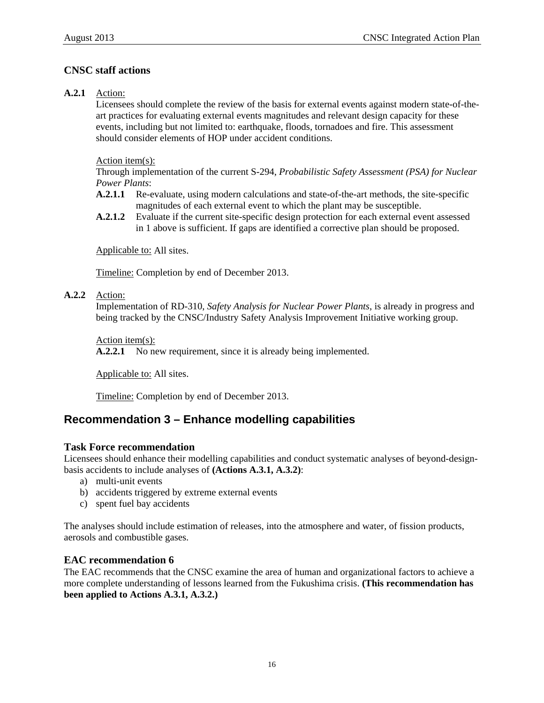#### **CNSC staff actions**

#### **A.2.1** Action:

Licensees should complete the review of the basis for external events against modern state-of-theart practices for evaluating external events magnitudes and relevant design capacity for these events, including but not limited to: earthquake, floods, tornadoes and fire. This assessment should consider elements of HOP under accident conditions.

Action item(s):

Through implementation of the current S-294, *Probabilistic Safety Assessment (PSA) for Nuclear Power Plants*:

- **A.2.1.1** Re-evaluate, using modern calculations and state-of-the-art methods, the site-specific magnitudes of each external event to which the plant may be susceptible.
- **A.2.1.2** Evaluate if the current site-specific design protection for each external event assessed in 1 above is sufficient. If gaps are identified a corrective plan should be proposed.

Applicable to: All sites.

Timeline: Completion by end of December 2013.

**A.2.2** Action:

Implementation of RD-310, *Safety Analysis for Nuclear Power Plants*, is already in progress and being tracked by the CNSC/Industry Safety Analysis Improvement Initiative working group.

Action item(s):

A.2.2.1 No new requirement, since it is already being implemented.

Applicable to: All sites.

Timeline: Completion by end of December 2013.

### **Recommendation 3 – Enhance modelling capabilities**

#### **Task Force recommendation**

Licensees should enhance their modelling capabilities and conduct systematic analyses of beyond-designbasis accidents to include analyses of **(Actions A.3.1, A.3.2)**:

- a) multi-unit events
- b) accidents triggered by extreme external events
- c) spent fuel bay accidents

The analyses should include estimation of releases, into the atmosphere and water, of fission products, aerosols and combustible gases.

#### **EAC recommendation 6**

The EAC recommends that the CNSC examine the area of human and organizational factors to achieve a more complete understanding of lessons learned from the Fukushima crisis. **(This recommendation has been applied to Actions A.3.1, A.3.2.)**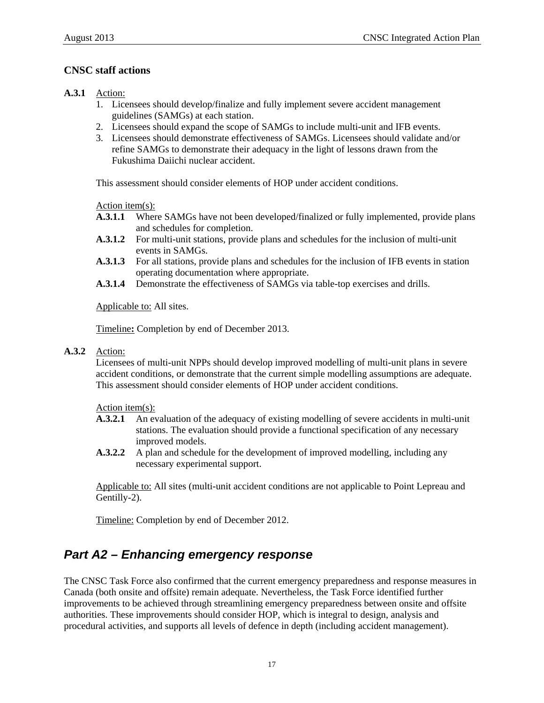#### <span id="page-20-0"></span>**CNSC staff actions**

#### **A.3.1** Action:

- 1. Licensees should develop/finalize and fully implement severe accident management guidelines (SAMGs) at each station.
- 2. Licensees should expand the scope of SAMGs to include multi-unit and IFB events.
- 3. Licensees should demonstrate effectiveness of SAMGs. Licensees should validate and/or refine SAMGs to demonstrate their adequacy in the light of lessons drawn from the Fukushima Daiichi nuclear accident.

This assessment should consider elements of HOP under accident conditions.

Action item(s):

- **A.3.1.1** Where SAMGs have not been developed/finalized or fully implemented, provide plans and schedules for completion.
- **A.3.1.2** For multi-unit stations, provide plans and schedules for the inclusion of multi-unit events in SAMGs.
- **A.3.1.3** For all stations, provide plans and schedules for the inclusion of IFB events in station operating documentation where appropriate.
- **A.3.1.4** Demonstrate the effectiveness of SAMGs via table-top exercises and drills.

Applicable to: All sites.

Timeline**:** Completion by end of December 2013.

**A.3.2** Action:

Licensees of multi-unit NPPs should develop improved modelling of multi-unit plans in severe accident conditions, or demonstrate that the current simple modelling assumptions are adequate. This assessment should consider elements of HOP under accident conditions.

Action item(s):

- **A.3.2.1** An evaluation of the adequacy of existing modelling of severe accidents in multi-unit stations. The evaluation should provide a functional specification of any necessary improved models.
- **A.3.2.2** A plan and schedule for the development of improved modelling, including any necessary experimental support.

Applicable to: All sites (multi-unit accident conditions are not applicable to Point Lepreau and Gentilly-2).

Timeline: Completion by end of December 2012.

# *Part A2 – Enhancing emergency response*

The CNSC Task Force also confirmed that the current emergency preparedness and response measures in Canada (both onsite and offsite) remain adequate. Nevertheless, the Task Force identified further improvements to be achieved through streamlining emergency preparedness between onsite and offsite authorities. These improvements should consider HOP, which is integral to design, analysis and procedural activities, and supports all levels of defence in depth (including accident management).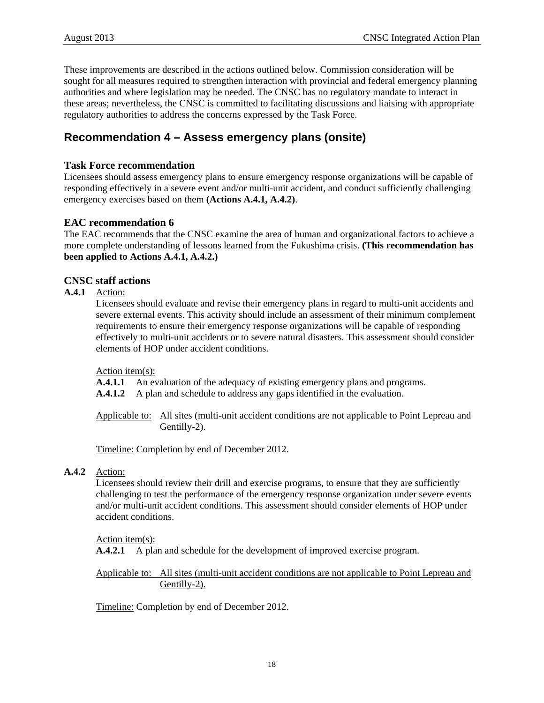These improvements are described in the actions outlined below. Commission consideration will be sought for all measures required to strengthen interaction with provincial and federal emergency planning authorities and where legislation may be needed. The CNSC has no regulatory mandate to interact in these areas; nevertheless, the CNSC is committed to facilitating discussions and liaising with appropriate regulatory authorities to address the concerns expressed by the Task Force.

# **Recommendation 4 – Assess emergency plans (onsite)**

#### **Task Force recommendation**

Licensees should assess emergency plans to ensure emergency response organizations will be capable of responding effectively in a severe event and/or multi-unit accident, and conduct sufficiently challenging emergency exercises based on them **(Actions A.4.1, A.4.2)**.

#### **EAC recommendation 6**

The EAC recommends that the CNSC examine the area of human and organizational factors to achieve a more complete understanding of lessons learned from the Fukushima crisis. **(This recommendation has been applied to Actions A.4.1, A.4.2.)**

#### **CNSC staff actions**

**A.4.1** Action:

Licensees should evaluate and revise their emergency plans in regard to multi-unit accidents and severe external events. This activity should include an assessment of their minimum complement requirements to ensure their emergency response organizations will be capable of responding effectively to multi-unit accidents or to severe natural disasters. This assessment should consider elements of HOP under accident conditions.

Action item(s):

**A.4.1.1** An evaluation of the adequacy of existing emergency plans and programs.

**A.4.1.2** A plan and schedule to address any gaps identified in the evaluation.

Applicable to: All sites (multi-unit accident conditions are not applicable to Point Lepreau and Gentilly-2).

Timeline: Completion by end of December 2012.

#### **A.4.2** Action:

Licensees should review their drill and exercise programs, to ensure that they are sufficiently challenging to test the performance of the emergency response organization under severe events and/or multi-unit accident conditions. This assessment should consider elements of HOP under accident conditions.

Action item(s):

**A.4.2.1** A plan and schedule for the development of improved exercise program.

Applicable to: All sites (multi-unit accident conditions are not applicable to Point Lepreau and Gentilly-2).

Timeline: Completion by end of December 2012.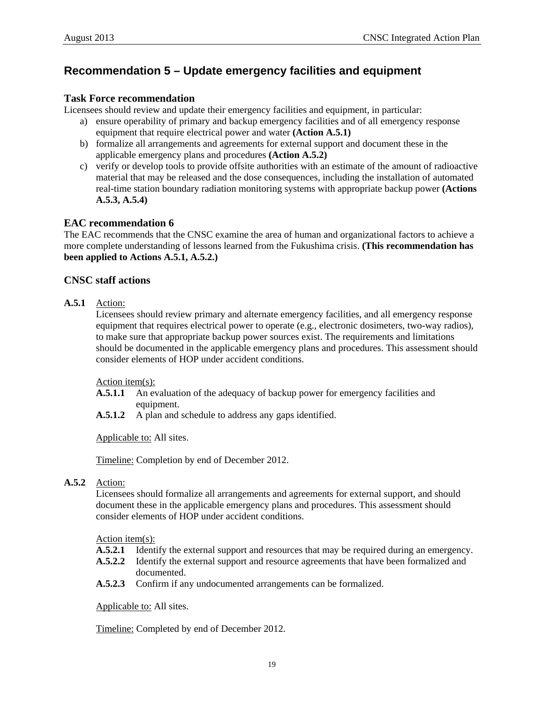# **Recommendation 5 – Update emergency facilities and equipment**

#### **Task Force recommendation**

Licensees should review and update their emergency facilities and equipment, in particular:

- a) ensure operability of primary and backup emergency facilities and of all emergency response equipment that require electrical power and water **(Action A.5.1)**
- b) formalize all arrangements and agreements for external support and document these in the applicable emergency plans and procedures **(Action A.5.2)**
- c) verify or develop tools to provide offsite authorities with an estimate of the amount of radioactive material that may be released and the dose consequences, including the installation of automated real-time station boundary radiation monitoring systems with appropriate backup power **(Actions A.5.3, A.5.4)**

#### **EAC recommendation 6**

The EAC recommends that the CNSC examine the area of human and organizational factors to achieve a more complete understanding of lessons learned from the Fukushima crisis. **(This recommendation has been applied to Actions A.5.1, A.5.2.)**

#### **CNSC staff actions**

#### **A.5.1** Action:

Licensees should review primary and alternate emergency facilities, and all emergency response equipment that requires electrical power to operate (e.g., electronic dosimeters, two-way radios), to make sure that appropriate backup power sources exist. The requirements and limitations should be documented in the applicable emergency plans and procedures. This assessment should consider elements of HOP under accident conditions.

Action item(s):

- **A.5.1.1** An evaluation of the adequacy of backup power for emergency facilities and equipment.
- **A.5.1.2** A plan and schedule to address any gaps identified.

Applicable to: All sites.

Timeline: Completion by end of December 2012.

#### **A.5.2** Action:

Licensees should formalize all arrangements and agreements for external support, and should document these in the applicable emergency plans and procedures. This assessment should consider elements of HOP under accident conditions.

Action item(s):

- **A.5.2.1** Identify the external support and resources that may be required during an emergency.
- **A.5.2.2** Identify the external support and resource agreements that have been formalized and documented.
- **A.5.2.3** Confirm if any undocumented arrangements can be formalized.

Applicable to: All sites.

Timeline: Completed by end of December 2012.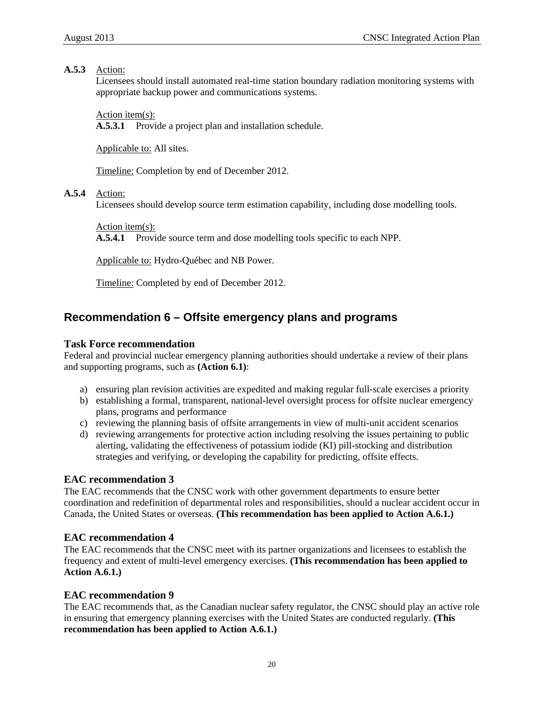#### **A.5.3** Action:

Licensees should install automated real-time station boundary radiation monitoring systems with appropriate backup power and communications systems.

Action item(s):

**A.5.3.1** Provide a project plan and installation schedule.

Applicable to: All sites.

Timeline: Completion by end of December 2012.

#### **A.5.4** Action:

Licensees should develop source term estimation capability, including dose modelling tools.

Action item(s):

**A.5.4.1** Provide source term and dose modelling tools specific to each NPP.

Applicable to: Hydro-Québec and NB Power.

Timeline: Completed by end of December 2012.

### **Recommendation 6 – Offsite emergency plans and programs**

#### **Task Force recommendation**

Federal and provincial nuclear emergency planning authorities should undertake a review of their plans and supporting programs, such as **(Action 6.1)**:

- a) ensuring plan revision activities are expedited and making regular full-scale exercises a priority
- b) establishing a formal, transparent, national-level oversight process for offsite nuclear emergency plans, programs and performance
- c) reviewing the planning basis of offsite arrangements in view of multi-unit accident scenarios
- d) reviewing arrangements for protective action including resolving the issues pertaining to public alerting, validating the effectiveness of potassium iodide (KI) pill-stocking and distribution strategies and verifying, or developing the capability for predicting, offsite effects.

#### **EAC recommendation 3**

The EAC recommends that the CNSC work with other government departments to ensure better coordination and redefinition of departmental roles and responsibilities, should a nuclear accident occur in Canada, the United States or overseas. **(This recommendation has been applied to Action A.6.1.)**

#### **EAC recommendation 4**

The EAC recommends that the CNSC meet with its partner organizations and licensees to establish the frequency and extent of multi-level emergency exercises. **(This recommendation has been applied to Action A.6.1.)**

#### **EAC recommendation 9**

The EAC recommends that, as the Canadian nuclear safety regulator, the CNSC should play an active role in ensuring that emergency planning exercises with the United States are conducted regularly. **(This recommendation has been applied to Action A.6.1.)**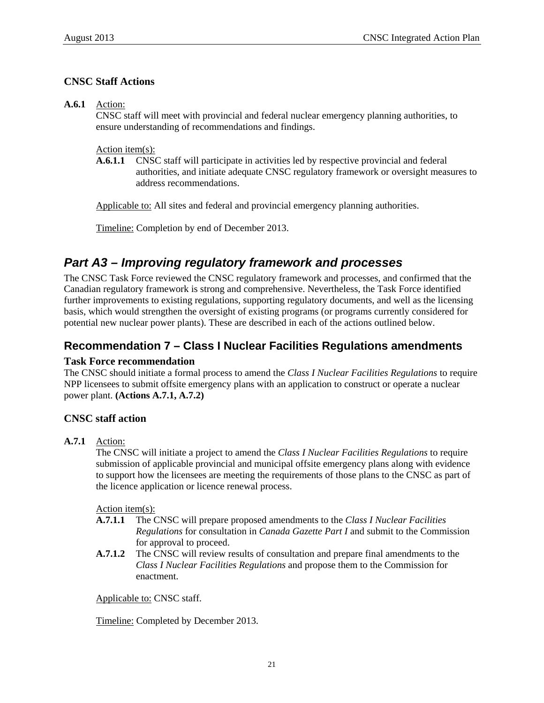#### <span id="page-24-0"></span>**CNSC Staff Actions**

**A.6.1** Action:

CNSC staff will meet with provincial and federal nuclear emergency planning authorities, to ensure understanding of recommendations and findings.

Action item(s):

**A.6.1.1** CNSC staff will participate in activities led by respective provincial and federal authorities, and initiate adequate CNSC regulatory framework or oversight measures to address recommendations.

Applicable to: All sites and federal and provincial emergency planning authorities.

Timeline: Completion by end of December 2013.

# *Part A3 – Improving regulatory framework and processes*

The CNSC Task Force reviewed the CNSC regulatory framework and processes, and confirmed that the Canadian regulatory framework is strong and comprehensive. Nevertheless, the Task Force identified further improvements to existing regulations, supporting regulatory documents, and well as the licensing basis, which would strengthen the oversight of existing programs (or programs currently considered for potential new nuclear power plants). These are described in each of the actions outlined below.

# **Recommendation 7 – Class I Nuclear Facilities Regulations amendments**

#### **Task Force recommendation**

The CNSC should initiate a formal process to amend the *Class I Nuclear Facilities Regulations* to require NPP licensees to submit offsite emergency plans with an application to construct or operate a nuclear power plant. **(Actions A.7.1, A.7.2)** 

#### **CNSC staff action**

**A.7.1** Action:

The CNSC will initiate a project to amend the *Class I Nuclear Facilities Regulations* to require submission of applicable provincial and municipal offsite emergency plans along with evidence to support how the licensees are meeting the requirements of those plans to the CNSC as part of the licence application or licence renewal process.

Action item(s):

- **A.7.1.1** The CNSC will prepare proposed amendments to the *Class I Nuclear Facilities Regulations* for consultation in *Canada Gazette Part I* and submit to the Commission for approval to proceed.
- **A.7.1.2** The CNSC will review results of consultation and prepare final amendments to the *Class I Nuclear Facilities Regulations* and propose them to the Commission for enactment.

Applicable to: CNSC staff.

Timeline: Completed by December 2013.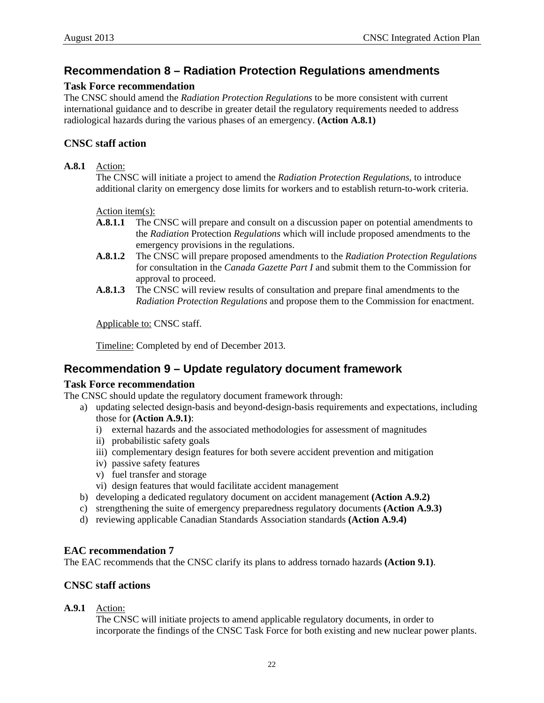### **Recommendation 8 – Radiation Protection Regulations amendments**

#### **Task Force recommendation**

The CNSC should amend the *Radiation Protection Regulations* to be more consistent with current international guidance and to describe in greater detail the regulatory requirements needed to address radiological hazards during the various phases of an emergency. **(Action A.8.1)**

#### **CNSC staff action**

#### **A.8.1** Action:

The CNSC will initiate a project to amend the *Radiation Protection Regulations*, to introduce additional clarity on emergency dose limits for workers and to establish return-to-work criteria.

Action item(s):

- **A.8.1.1** The CNSC will prepare and consult on a discussion paper on potential amendments to the *Radiation* Protection *Regulations* which will include proposed amendments to the emergency provisions in the regulations.
- **A.8.1.2** The CNSC will prepare proposed amendments to the *Radiation Protection Regulations* for consultation in the *Canada Gazette Part I* and submit them to the Commission for approval to proceed.
- **A.8.1.3** The CNSC will review results of consultation and prepare final amendments to the *Radiation Protection Regulations* and propose them to the Commission for enactment.

Applicable to: CNSC staff.

Timeline: Completed by end of December 2013.

### **Recommendation 9 – Update regulatory document framework**

#### **Task Force recommendation**

The CNSC should update the regulatory document framework through:

- a) updating selected design-basis and beyond-design-basis requirements and expectations, including those for **(Action A.9.1)**:
	- i) external hazards and the associated methodologies for assessment of magnitudes
	- ii) probabilistic safety goals
	- iii) complementary design features for both severe accident prevention and mitigation
	- iv) passive safety features
	- v) fuel transfer and storage
	- vi) design features that would facilitate accident management
- b) developing a dedicated regulatory document on accident management **(Action A.9.2)**
- c) strengthening the suite of emergency preparedness regulatory documents **(Action A.9.3)**
- d) reviewing applicable Canadian Standards Association standards **(Action A.9.4)**

#### **EAC recommendation 7**

The EAC recommends that the CNSC clarify its plans to address tornado hazards **(Action 9.1)**.

#### **CNSC staff actions**

**A.9.1** Action:

The CNSC will initiate projects to amend applicable regulatory documents, in order to incorporate the findings of the CNSC Task Force for both existing and new nuclear power plants.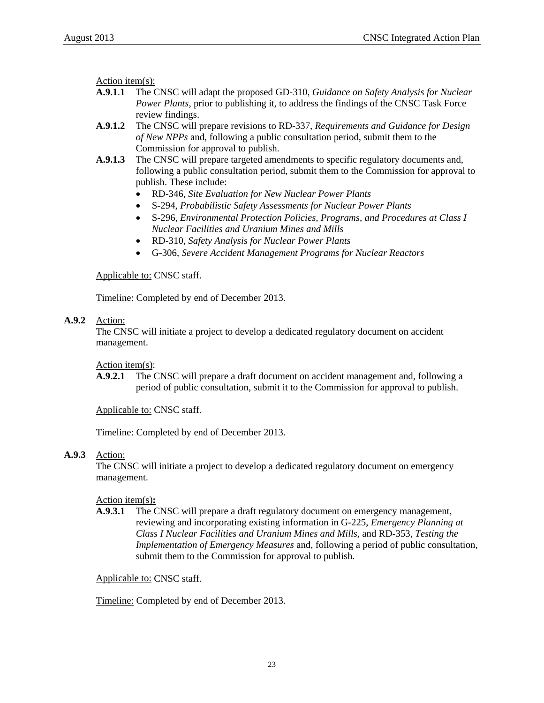Action item(s):

- **A.9.1**.**1** The CNSC will adapt the proposed GD-310, *Guidance on Safety Analysis for Nuclear Power Plants*, prior to publishing it, to address the findings of the CNSC Task Force review findings.
- **A.9.1.2** The CNSC will prepare revisions to RD-337, *Requirements and Guidance for Design of New NPPs* and, following a public consultation period, submit them to the Commission for approval to publish.
- **A.9.1.3** The CNSC will prepare targeted amendments to specific regulatory documents and, following a public consultation period, submit them to the Commission for approval to publish. These include:
	- RD-346, *Site Evaluation for New Nuclear Power Plants*
	- S-294, *Probabilistic Safety Assessments for Nuclear Power Plants*
	- S-296, *Environmental Protection Policies, Programs, and Procedures at Class I Nuclear Facilities and Uranium Mines and Mills*
	- RD-310, *Safety Analysis for Nuclear Power Plants*
	- G-306, *Severe Accident Management Programs for Nuclear Reactors*

#### Applicable to: CNSC staff.

Timeline: Completed by end of December 2013.

#### **A.9.2** Action:

The CNSC will initiate a project to develop a dedicated regulatory document on accident management.

#### Action item(s):

**A.9.2.1** The CNSC will prepare a draft document on accident management and, following a period of public consultation, submit it to the Commission for approval to publish.

Applicable to: CNSC staff.

Timeline: Completed by end of December 2013.

#### **A.9.3** Action:

The CNSC will initiate a project to develop a dedicated regulatory document on emergency management.

#### Action item(s)**:**

**A.9.3.1** The CNSC will prepare a draft regulatory document on emergency management, reviewing and incorporating existing information in G-225, *Emergency Planning at Class I Nuclear Facilities and Uranium Mines and Mills*, and RD-353, *Testing the Implementation of Emergency Measures* and, following a period of public consultation, submit them to the Commission for approval to publish.

#### Applicable to: CNSC staff.

Timeline: Completed by end of December 2013.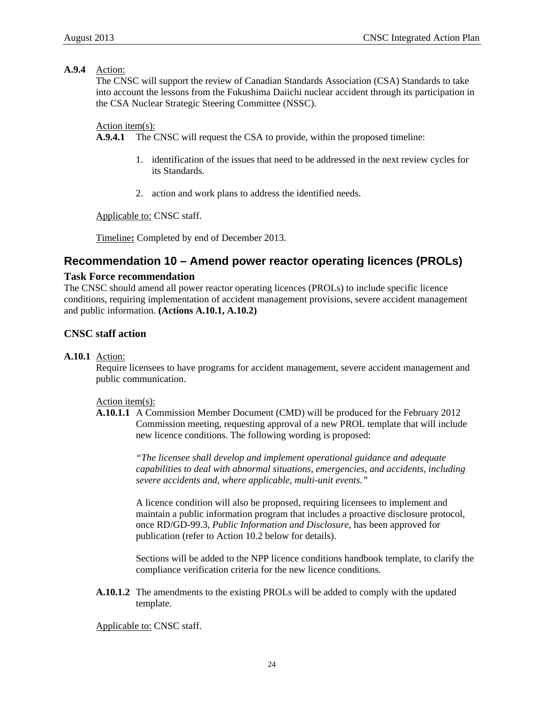#### **A.9.4** Action:

The CNSC will support the review of Canadian Standards Association (CSA) Standards to take into account the lessons from the Fukushima Daiichi nuclear accident through its participation in the CSA Nuclear Strategic Steering Committee (NSSC).

#### Action item(s):

**A.9.4.1** The CNSC will request the CSA to provide, within the proposed timeline:

- 1. identification of the issues that need to be addressed in the next review cycles for its Standards.
- 2. action and work plans to address the identified needs.

Applicable to: CNSC staff.

Timeline**:** Completed by end of December 2013.

### **Recommendation 10 – Amend power reactor operating licences (PROLs)**

#### **Task Force recommendation**

The CNSC should amend all power reactor operating licences (PROLs) to include specific licence conditions, requiring implementation of accident management provisions, severe accident management and public information. **(Actions A.10.1, A.10.2)** 

#### **CNSC staff action**

#### **A.10.1** Action:

Require licensees to have programs for accident management, severe accident management and public communication.

Action item(s):

**A.10.1.1** A Commission Member Document (CMD) will be produced for the February 2012 Commission meeting, requesting approval of a new PROL template that will include new licence conditions. The following wording is proposed:

> *"The licensee shall develop and implement operational guidance and adequate capabilities to deal with abnormal situations, emergencies, and accidents, including severe accidents and, where applicable, multi-unit events."*

> A licence condition will also be proposed, requiring licensees to implement and maintain a public information program that includes a proactive disclosure protocol, once RD/GD-99.3, *Public Information and Disclosure*, has been approved for publication (refer to Action 10.2 below for details).

 Sections will be added to the NPP licence conditions handbook template, to clarify the compliance verification criteria for the new licence conditions.

**A.10.1.2** The amendments to the existing PROLs will be added to comply with the updated template.

Applicable to: CNSC staff.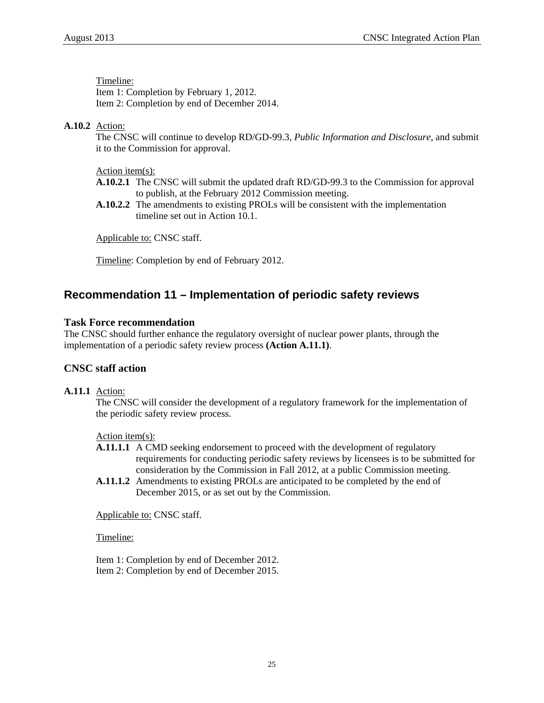Timeline: Item 1: Completion by February 1, 2012. Item 2: Completion by end of December 2014.

#### **A.10.2** Action:

The CNSC will continue to develop RD/GD-99.3*, Public Information and Disclosure*, and submit it to the Commission for approval.

#### Action item(s):

- **A.10.2.1** The CNSC will submit the updated draft RD/GD-99.3 to the Commission for approval to publish, at the February 2012 Commission meeting.
- **A.10.2.2** The amendments to existing PROLs will be consistent with the implementation timeline set out in Action 10.1.

Applicable to: CNSC staff.

Timeline: Completion by end of February 2012.

# **Recommendation 11 – Implementation of periodic safety reviews**

#### **Task Force recommendation**

The CNSC should further enhance the regulatory oversight of nuclear power plants, through the implementation of a periodic safety review process **(Action A.11.1)**.

#### **CNSC staff action**

#### **A.11.1** Action:

The CNSC will consider the development of a regulatory framework for the implementation of the periodic safety review process.

Action item(s):

**A.11.1.1** A CMD seeking endorsement to proceed with the development of regulatory requirements for conducting periodic safety reviews by licensees is to be submitted for consideration by the Commission in Fall 2012, at a public Commission meeting.

**A.11.1.2** Amendments to existing PROLs are anticipated to be completed by the end of December 2015, or as set out by the Commission.

Applicable to: CNSC staff.

Timeline:

Item 1: Completion by end of December 2012. Item 2: Completion by end of December 2015.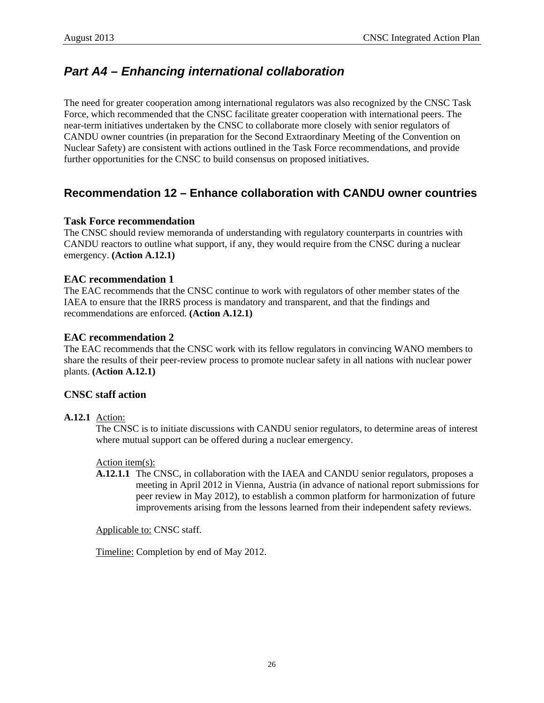# <span id="page-29-0"></span>*Part A4 – Enhancing international collaboration*

The need for greater cooperation among international regulators was also recognized by the CNSC Task Force, which recommended that the CNSC facilitate greater cooperation with international peers. The near-term initiatives undertaken by the CNSC to collaborate more closely with senior regulators of CANDU owner countries (in preparation for the Second Extraordinary Meeting of the Convention on Nuclear Safety) are consistent with actions outlined in the Task Force recommendations, and provide further opportunities for the CNSC to build consensus on proposed initiatives.

# **Recommendation 12 – Enhance collaboration with CANDU owner countries**

#### **Task Force recommendation**

The CNSC should review memoranda of understanding with regulatory counterparts in countries with CANDU reactors to outline what support, if any, they would require from the CNSC during a nuclear emergency. **(Action A.12.1)**

#### **EAC recommendation 1**

The EAC recommends that the CNSC continue to work with regulators of other member states of the IAEA to ensure that the IRRS process is mandatory and transparent, and that the findings and recommendations are enforced. **(Action A.12.1)** 

#### **EAC recommendation 2**

The EAC recommends that the CNSC work with its fellow regulators in convincing WANO members to share the results of their peer-review process to promote nuclear safety in all nations with nuclear power plants. **(Action A.12.1)**

#### **CNSC staff action**

#### **A.12.1** Action:

The CNSC is to initiate discussions with CANDU senior regulators, to determine areas of interest where mutual support can be offered during a nuclear emergency.

#### Action item(s):

**A.12.1.1** The CNSC, in collaboration with the IAEA and CANDU senior regulators, proposes a meeting in April 2012 in Vienna, Austria (in advance of national report submissions for peer review in May 2012), to establish a common platform for harmonization of future improvements arising from the lessons learned from their independent safety reviews.

Applicable to: CNSC staff.

Timeline: Completion by end of May 2012.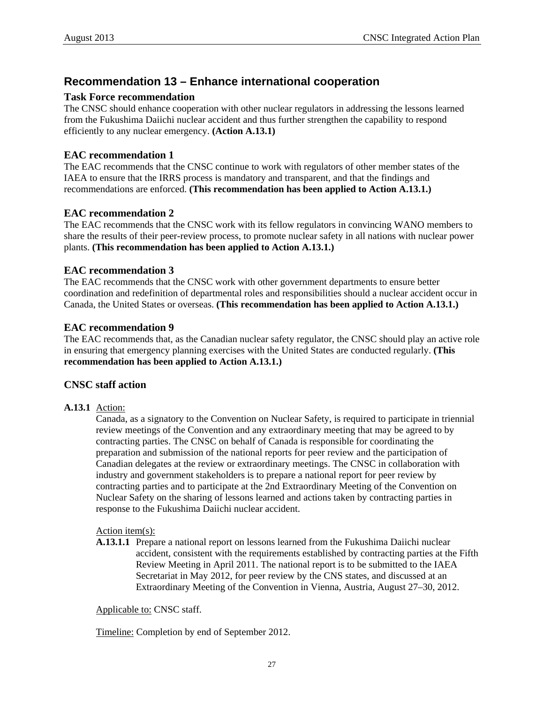# **Recommendation 13 – Enhance international cooperation**

#### **Task Force recommendation**

The CNSC should enhance cooperation with other nuclear regulators in addressing the lessons learned from the Fukushima Daiichi nuclear accident and thus further strengthen the capability to respond efficiently to any nuclear emergency. **(Action A.13.1)** 

#### **EAC recommendation 1**

The EAC recommends that the CNSC continue to work with regulators of other member states of the IAEA to ensure that the IRRS process is mandatory and transparent, and that the findings and recommendations are enforced. **(This recommendation has been applied to Action A.13.1.)** 

#### **EAC recommendation 2**

The EAC recommends that the CNSC work with its fellow regulators in convincing WANO members to share the results of their peer-review process, to promote nuclear safety in all nations with nuclear power plants. **(This recommendation has been applied to Action A.13.1.)**

#### **EAC recommendation 3**

The EAC recommends that the CNSC work with other government departments to ensure better coordination and redefinition of departmental roles and responsibilities should a nuclear accident occur in Canada, the United States or overseas. **(This recommendation has been applied to Action A.13.1.)**

#### **EAC recommendation 9**

The EAC recommends that, as the Canadian nuclear safety regulator, the CNSC should play an active role in ensuring that emergency planning exercises with the United States are conducted regularly. **(This recommendation has been applied to Action A.13.1.)**

#### **CNSC staff action**

#### **A.13.1** Action:

Canada, as a signatory to the Convention on Nuclear Safety, is required to participate in triennial review meetings of the Convention and any extraordinary meeting that may be agreed to by contracting parties. The CNSC on behalf of Canada is responsible for coordinating the preparation and submission of the national reports for peer review and the participation of Canadian delegates at the review or extraordinary meetings. The CNSC in collaboration with industry and government stakeholders is to prepare a national report for peer review by contracting parties and to participate at the 2nd Extraordinary Meeting of the Convention on Nuclear Safety on the sharing of lessons learned and actions taken by contracting parties in response to the Fukushima Daiichi nuclear accident.

#### Action item(s):

**A.13.1.1** Prepare a national report on lessons learned from the Fukushima Daiichi nuclear accident, consistent with the requirements established by contracting parties at the Fifth Review Meeting in April 2011. The national report is to be submitted to the IAEA Secretariat in May 2012, for peer review by the CNS states, and discussed at an Extraordinary Meeting of the Convention in Vienna, Austria, August 27–30, 2012.

Applicable to: CNSC staff.

Timeline: Completion by end of September 2012.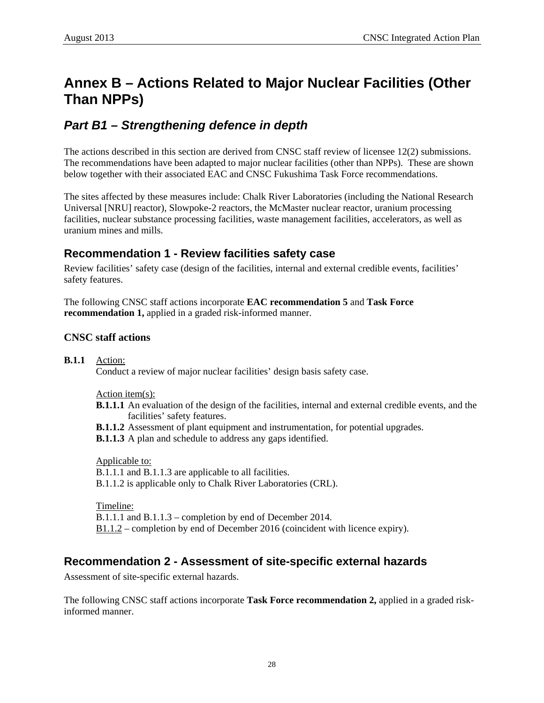# <span id="page-31-0"></span>**Annex B – Actions Related to Major Nuclear Facilities (Other Than NPPs)**

# *Part B1 – Strengthening defence in depth*

The actions described in this section are derived from CNSC staff review of licensee 12(2) submissions. The recommendations have been adapted to major nuclear facilities (other than NPPs). These are shown below together with their associated EAC and CNSC Fukushima Task Force recommendations.

The sites affected by these measures include: Chalk River Laboratories (including the National Research Universal [NRU] reactor), Slowpoke-2 reactors, the McMaster nuclear reactor, uranium processing facilities, nuclear substance processing facilities, waste management facilities, accelerators, as well as uranium mines and mills.

### **Recommendation 1 - Review facilities safety case**

Review facilities' safety case (design of the facilities, internal and external credible events, facilities' safety features.

The following CNSC staff actions incorporate **EAC recommendation 5** and **Task Force recommendation 1,** applied in a graded risk-informed manner.

#### **CNSC staff actions**

**B.1.1** Action:

Conduct a review of major nuclear facilities' design basis safety case.

Action item(s):

- **B.1.1.1** An evaluation of the design of the facilities, internal and external credible events, and the facilities' safety features.
- **B.1.1.2** Assessment of plant equipment and instrumentation, for potential upgrades.

**B.1.1.3** A plan and schedule to address any gaps identified.

Applicable to: B.1.1.1 and B.1.1.3 are applicable to all facilities. B.1.1.2 is applicable only to Chalk River Laboratories (CRL).

Timeline:

B.1.1.1 and B.1.1.3 – completion by end of December 2014.

B1.1.2 – completion by end of December 2016 (coincident with licence expiry).

### **Recommendation 2 - Assessment of site-specific external hazards**

Assessment of site-specific external hazards.

The following CNSC staff actions incorporate **Task Force recommendation 2,** applied in a graded riskinformed manner.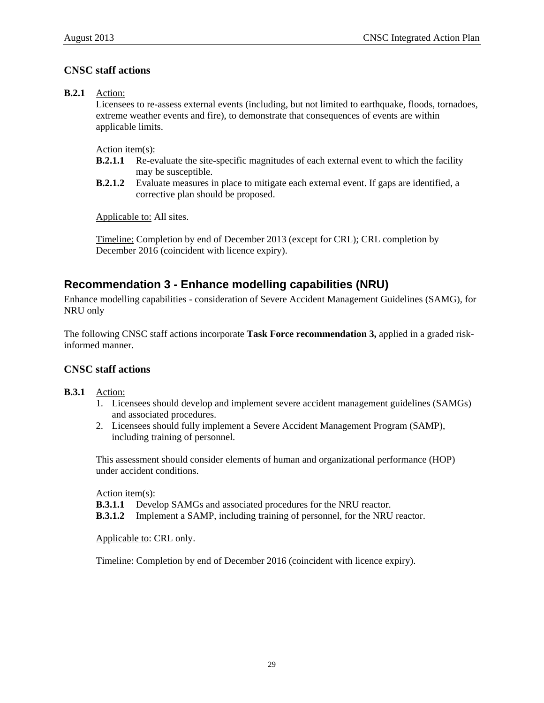### **CNSC staff actions**

#### **B.2.1** Action:

Licensees to re-assess external events (including, but not limited to earthquake, floods, tornadoes, extreme weather events and fire), to demonstrate that consequences of events are within applicable limits.

Action item(s):

- **B.2.1.1** Re-evaluate the site-specific magnitudes of each external event to which the facility may be susceptible.
- **B.2.1.2** Evaluate measures in place to mitigate each external event. If gaps are identified, a corrective plan should be proposed.

Applicable to: All sites.

Timeline: Completion by end of December 2013 (except for CRL); CRL completion by December 2016 (coincident with licence expiry).

# **Recommendation 3 - Enhance modelling capabilities (NRU)**

Enhance modelling capabilities - consideration of Severe Accident Management Guidelines (SAMG), for NRU only

The following CNSC staff actions incorporate **Task Force recommendation 3,** applied in a graded riskinformed manner.

#### **CNSC staff actions**

#### **B.3.1** Action:

- 1. Licensees should develop and implement severe accident management guidelines (SAMGs) and associated procedures.
- 2. Licensees should fully implement a Severe Accident Management Program (SAMP), including training of personnel.

This assessment should consider elements of human and organizational performance (HOP) under accident conditions.

Action item(s):

**B.3.1.1** Develop SAMGs and associated procedures for the NRU reactor.

**B.3.1.2** Implement a SAMP, including training of personnel, for the NRU reactor.

Applicable to: CRL only.

Timeline: Completion by end of December 2016 (coincident with licence expiry).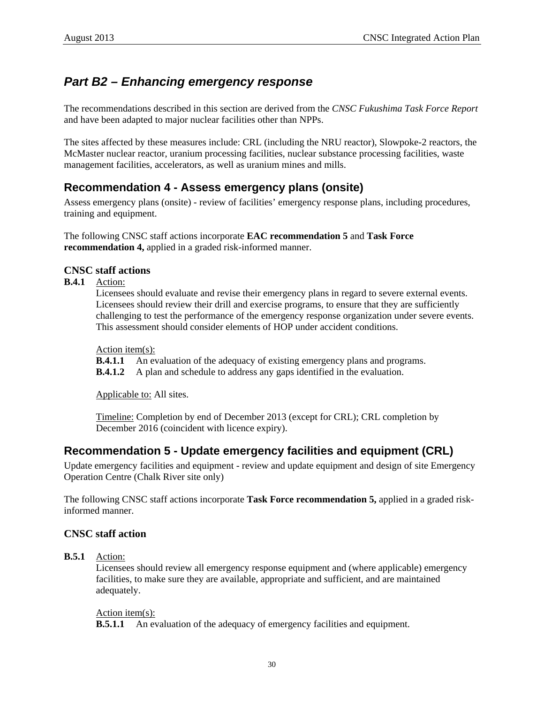# <span id="page-33-0"></span>*Part B2 – Enhancing emergency response*

The recommendations described in this section are derived from the *CNSC Fukushima Task Force Report* and have been adapted to major nuclear facilities other than NPPs.

The sites affected by these measures include: CRL (including the NRU reactor), Slowpoke-2 reactors, the McMaster nuclear reactor, uranium processing facilities, nuclear substance processing facilities, waste management facilities, accelerators, as well as uranium mines and mills.

# **Recommendation 4 - Assess emergency plans (onsite)**

Assess emergency plans (onsite) - review of facilities' emergency response plans, including procedures, training and equipment.

The following CNSC staff actions incorporate **EAC recommendation 5** and **Task Force recommendation 4,** applied in a graded risk-informed manner.

#### **CNSC staff actions**

**B.4.1** Action:

Licensees should evaluate and revise their emergency plans in regard to severe external events. Licensees should review their drill and exercise programs, to ensure that they are sufficiently challenging to test the performance of the emergency response organization under severe events. This assessment should consider elements of HOP under accident conditions.

Action item(s):

**B.4.1.1** An evaluation of the adequacy of existing emergency plans and programs.

**B.4.1.2** A plan and schedule to address any gaps identified in the evaluation.

Applicable to: All sites.

Timeline: Completion by end of December 2013 (except for CRL); CRL completion by December 2016 (coincident with licence expiry).

# **Recommendation 5 - Update emergency facilities and equipment (CRL)**

Update emergency facilities and equipment - review and update equipment and design of site Emergency Operation Centre (Chalk River site only)

The following CNSC staff actions incorporate **Task Force recommendation 5,** applied in a graded riskinformed manner.

#### **CNSC staff action**

**B.5.1** Action:

Licensees should review all emergency response equipment and (where applicable) emergency facilities, to make sure they are available, appropriate and sufficient, and are maintained adequately.

#### Action item(s):

**B.5.1.1** An evaluation of the adequacy of emergency facilities and equipment.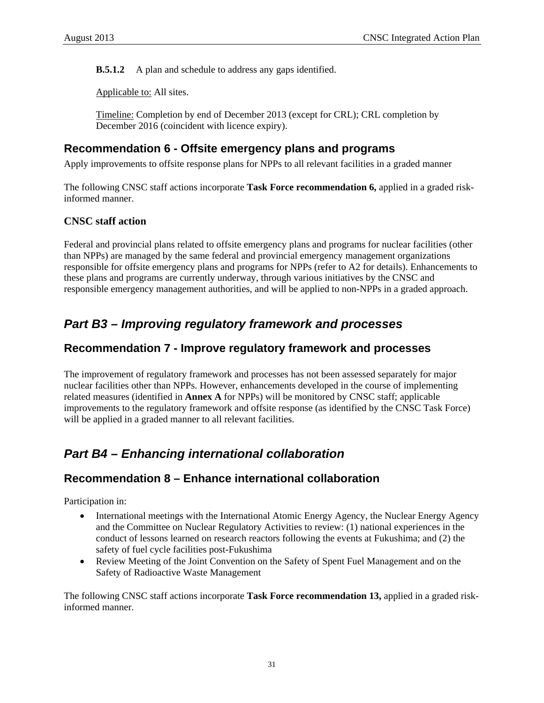<span id="page-34-0"></span>**B.5.1.2** A plan and schedule to address any gaps identified.

Applicable to: All sites.

Timeline: Completion by end of December 2013 (except for CRL); CRL completion by December 2016 (coincident with licence expiry).

### **Recommendation 6 - Offsite emergency plans and programs**

Apply improvements to offsite response plans for NPPs to all relevant facilities in a graded manner

The following CNSC staff actions incorporate **Task Force recommendation 6,** applied in a graded riskinformed manner.

#### **CNSC staff action**

Federal and provincial plans related to offsite emergency plans and programs for nuclear facilities (other than NPPs) are managed by the same federal and provincial emergency management organizations responsible for offsite emergency plans and programs for NPPs (refer to A2 for details). Enhancements to these plans and programs are currently underway, through various initiatives by the CNSC and responsible emergency management authorities, and will be applied to non-NPPs in a graded approach.

# *Part B3 – Improving regulatory framework and processes*

### **Recommendation 7 - Improve regulatory framework and processes**

The improvement of regulatory framework and processes has not been assessed separately for major nuclear facilities other than NPPs. However, enhancements developed in the course of implementing related measures (identified in **Annex A** for NPPs) will be monitored by CNSC staff; applicable improvements to the regulatory framework and offsite response (as identified by the CNSC Task Force) will be applied in a graded manner to all relevant facilities.

# *Part B4 – Enhancing international collaboration*

# **Recommendation 8 – Enhance international collaboration**

Participation in:

- International meetings with the International Atomic Energy Agency, the Nuclear Energy Agency and the Committee on Nuclear Regulatory Activities to review: (1) national experiences in the conduct of lessons learned on research reactors following the events at Fukushima; and (2) the safety of fuel cycle facilities post-Fukushima
- Review Meeting of the Joint Convention on the Safety of Spent Fuel Management and on the Safety of Radioactive Waste Management

The following CNSC staff actions incorporate **Task Force recommendation 13,** applied in a graded riskinformed manner.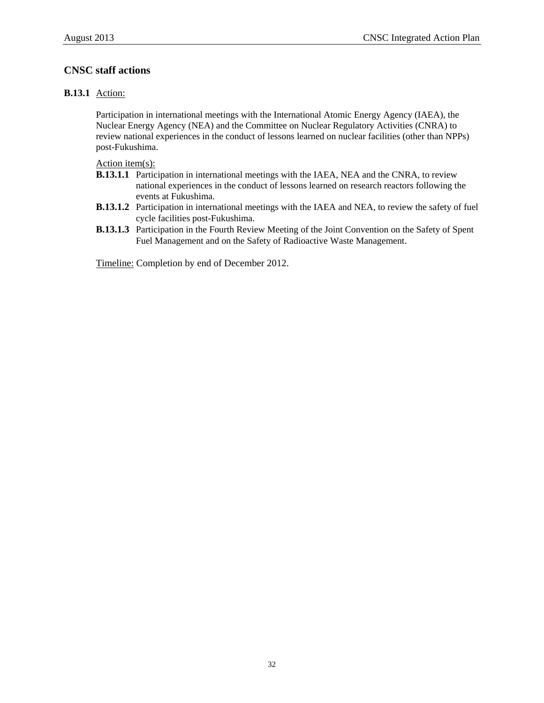#### **CNSC staff actions**

#### **B.13.1** Action:

Participation in international meetings with the International Atomic Energy Agency (IAEA), the Nuclear Energy Agency (NEA) and the Committee on Nuclear Regulatory Activities (CNRA) to review national experiences in the conduct of lessons learned on nuclear facilities (other than NPPs) post-Fukushima.

Action item(s):

- **B.13.1.1** Participation in international meetings with the IAEA, NEA and the CNRA, to review national experiences in the conduct of lessons learned on research reactors following the events at Fukushima.
- **B.13.1.2** Participation in international meetings with the IAEA and NEA, to review the safety of fuel cycle facilities post-Fukushima.
- **B.13.1.3** Participation in the Fourth Review Meeting of the Joint Convention on the Safety of Spent Fuel Management and on the Safety of Radioactive Waste Management.

Timeline: Completion by end of December 2012.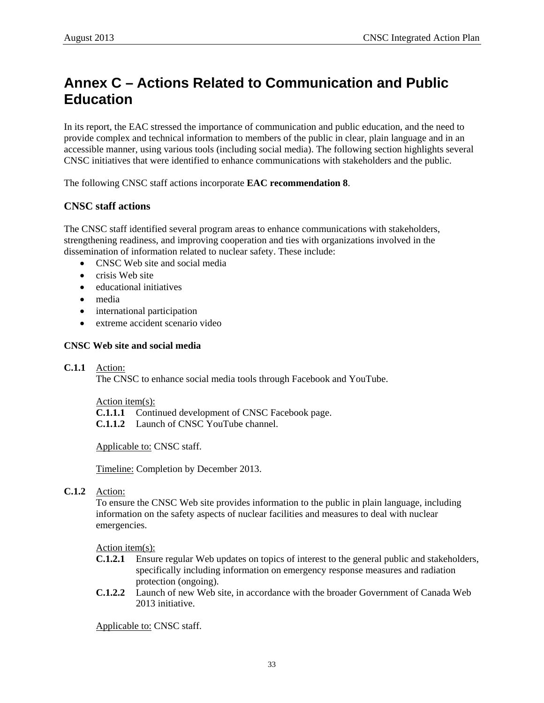# <span id="page-36-0"></span>**Annex C – Actions Related to Communication and Public Education**

In its report, the EAC stressed the importance of communication and public education, and the need to provide complex and technical information to members of the public in clear, plain language and in an accessible manner, using various tools (including social media). The following section highlights several CNSC initiatives that were identified to enhance communications with stakeholders and the public.

The following CNSC staff actions incorporate **EAC recommendation 8**.

#### **CNSC staff actions**

The CNSC staff identified several program areas to enhance communications with stakeholders, strengthening readiness, and improving cooperation and ties with organizations involved in the dissemination of information related to nuclear safety. These include:

- CNSC Web site and social media
- crisis Web site
- educational initiatives
- media
- international participation
- extreme accident scenario video

#### **CNSC Web site and social media**

#### **C.1.1** Action:

The CNSC to enhance social media tools through Facebook and YouTube.

Action item(s):

**C.1.1.1** Continued development of CNSC Facebook page.

**C.1.1.2** Launch of CNSC YouTube channel.

Applicable to: CNSC staff.

Timeline: Completion by December 2013.

#### **C.1.2** Action:

To ensure the CNSC Web site provides information to the public in plain language, including information on the safety aspects of nuclear facilities and measures to deal with nuclear emergencies.

Action item(s):

- **C.1.2.1** Ensure regular Web updates on topics of interest to the general public and stakeholders, specifically including information on emergency response measures and radiation protection (ongoing).
- **C.1.2.2** Launch of new Web site, in accordance with the broader Government of Canada Web 2013 initiative.

Applicable to: CNSC staff.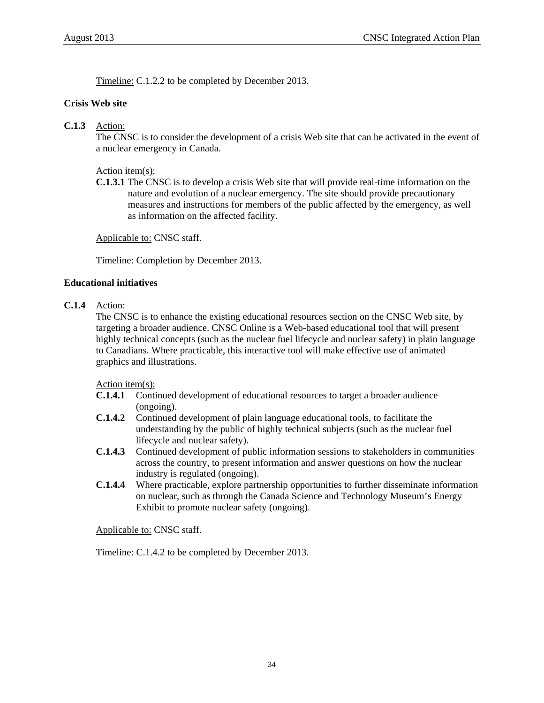Timeline: C.1.2.2 to be completed by December 2013.

#### **Crisis Web site**

#### **C.1.3** Action:

The CNSC is to consider the development of a crisis Web site that can be activated in the event of a nuclear emergency in Canada.

#### Action item(s):

**C.1.3.1** The CNSC is to develop a crisis Web site that will provide real-time information on the nature and evolution of a nuclear emergency. The site should provide precautionary measures and instructions for members of the public affected by the emergency, as well as information on the affected facility.

Applicable to: CNSC staff.

Timeline: Completion by December 2013.

#### **Educational initiatives**

#### **C.1.4** Action:

The CNSC is to enhance the existing educational resources section on the CNSC Web site, by targeting a broader audience. CNSC Online is a Web-based educational tool that will present highly technical concepts (such as the nuclear fuel lifecycle and nuclear safety) in plain language to Canadians. Where practicable, this interactive tool will make effective use of animated graphics and illustrations.

Action item(s):

- **C.1.4.1** Continued development of educational resources to target a broader audience (ongoing).
- **C.1.4.2** Continued development of plain language educational tools, to facilitate the understanding by the public of highly technical subjects (such as the nuclear fuel lifecycle and nuclear safety).
- **C.1.4.3** Continued development of public information sessions to stakeholders in communities across the country, to present information and answer questions on how the nuclear industry is regulated (ongoing).
- **C.1.4.4** Where practicable, explore partnership opportunities to further disseminate information on nuclear, such as through the Canada Science and Technology Museum's Energy Exhibit to promote nuclear safety (ongoing).

Applicable to: CNSC staff.

Timeline: C.1.4.2 to be completed by December 2013.